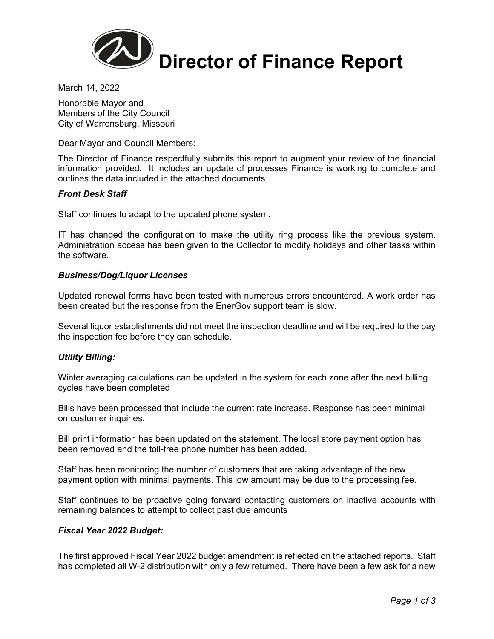

March 14, 2022

Honorable Mayor and Members of the City Council City of Warrensburg, Missouri

Dear Mayor and Council Members:

The Director of Finance respectfully submits this report to augment your review of the financial information provided. It includes an update of processes Finance is working to complete and outlines the data included in the attached documents.

### *Front Desk Staff*

Staff continues to adapt to the updated phone system.

IT has changed the configuration to make the utility ring process like the previous system. Administration access has been given to the Collector to modify holidays and other tasks within the software.

### *Business/Dog/Liquor Licenses*

Updated renewal forms have been tested with numerous errors encountered. A work order has been created but the response from the EnerGov support team is slow.

Several liquor establishments did not meet the inspection deadline and will be required to the pay the inspection fee before they can schedule.

### *Utility Billing:*

Winter averaging calculations can be updated in the system for each zone after the next billing cycles have been completed

Bills have been processed that include the current rate increase. Response has been minimal on customer inquiries.

Bill print information has been updated on the statement. The local store payment option has been removed and the toll-free phone number has been added.

Staff has been monitoring the number of customers that are taking advantage of the new payment option with minimal payments. This low amount may be due to the processing fee.

Staff continues to be proactive going forward contacting customers on inactive accounts with remaining balances to attempt to collect past due amounts

### *Fiscal Year 2022 Budget:*

The first approved Fiscal Year 2022 budget amendment is reflected on the attached reports. Staff has completed all W-2 distribution with only a few returned. There have been a few ask for a new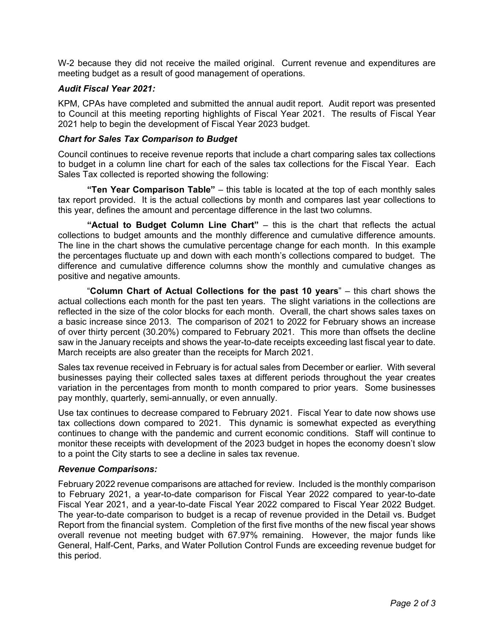W-2 because they did not receive the mailed original. Current revenue and expenditures are meeting budget as a result of good management of operations.

## *Audit Fiscal Year 2021:*

KPM, CPAs have completed and submitted the annual audit report. Audit report was presented to Council at this meeting reporting highlights of Fiscal Year 2021. The results of Fiscal Year 2021 help to begin the development of Fiscal Year 2023 budget.

## *Chart for Sales Tax Comparison to Budget*

Council continues to receive revenue reports that include a chart comparing sales tax collections to budget in a column line chart for each of the sales tax collections for the Fiscal Year. Each Sales Tax collected is reported showing the following:

**"Ten Year Comparison Table"** – this table is located at the top of each monthly sales tax report provided. It is the actual collections by month and compares last year collections to this year, defines the amount and percentage difference in the last two columns.

**"Actual to Budget Column Line Chart"** – this is the chart that reflects the actual collections to budget amounts and the monthly difference and cumulative difference amounts. The line in the chart shows the cumulative percentage change for each month. In this example the percentages fluctuate up and down with each month's collections compared to budget. The difference and cumulative difference columns show the monthly and cumulative changes as positive and negative amounts.

 "**Column Chart of Actual Collections for the past 10 years**" – this chart shows the actual collections each month for the past ten years. The slight variations in the collections are reflected in the size of the color blocks for each month. Overall, the chart shows sales taxes on a basic increase since 2013. The comparison of 2021 to 2022 for February shows an increase of over thirty percent (30.20%) compared to February 2021. This more than offsets the decline saw in the January receipts and shows the year-to-date receipts exceeding last fiscal year to date. March receipts are also greater than the receipts for March 2021.

Sales tax revenue received in February is for actual sales from December or earlier. With several businesses paying their collected sales taxes at different periods throughout the year creates variation in the percentages from month to month compared to prior years. Some businesses pay monthly, quarterly, semi-annually, or even annually.

Use tax continues to decrease compared to February 2021. Fiscal Year to date now shows use tax collections down compared to 2021. This dynamic is somewhat expected as everything continues to change with the pandemic and current economic conditions. Staff will continue to monitor these receipts with development of the 2023 budget in hopes the economy doesn't slow to a point the City starts to see a decline in sales tax revenue.

### *Revenue Comparisons:*

February 2022 revenue comparisons are attached for review. Included is the monthly comparison to February 2021, a year-to-date comparison for Fiscal Year 2022 compared to year-to-date Fiscal Year 2021, and a year-to-date Fiscal Year 2022 compared to Fiscal Year 2022 Budget. The year-to-date comparison to budget is a recap of revenue provided in the Detail vs. Budget Report from the financial system. Completion of the first five months of the new fiscal year shows overall revenue not meeting budget with 67.97% remaining. However, the major funds like General, Half-Cent, Parks, and Water Pollution Control Funds are exceeding revenue budget for this period.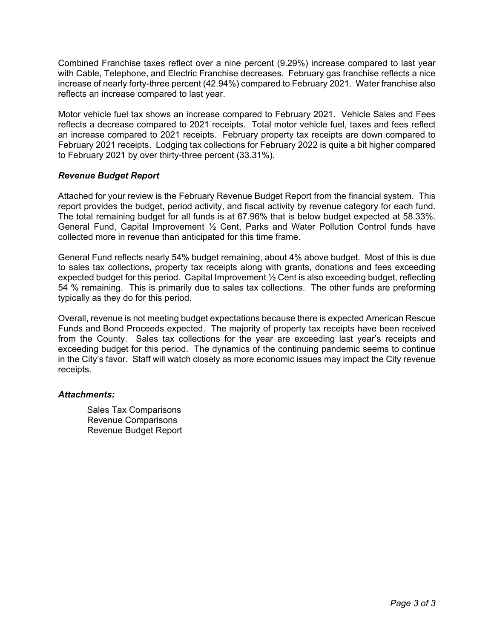Combined Franchise taxes reflect over a nine percent (9.29%) increase compared to last year with Cable, Telephone, and Electric Franchise decreases. February gas franchise reflects a nice increase of nearly forty-three percent (42.94%) compared to February 2021. Water franchise also reflects an increase compared to last year.

Motor vehicle fuel tax shows an increase compared to February 2021. Vehicle Sales and Fees reflects a decrease compared to 2021 receipts. Total motor vehicle fuel, taxes and fees reflect an increase compared to 2021 receipts. February property tax receipts are down compared to February 2021 receipts. Lodging tax collections for February 2022 is quite a bit higher compared to February 2021 by over thirty-three percent (33.31%).

## *Revenue Budget Report*

Attached for your review is the February Revenue Budget Report from the financial system. This report provides the budget, period activity, and fiscal activity by revenue category for each fund. The total remaining budget for all funds is at 67.96% that is below budget expected at 58.33%. General Fund, Capital Improvement ½ Cent, Parks and Water Pollution Control funds have collected more in revenue than anticipated for this time frame.

General Fund reflects nearly 54% budget remaining, about 4% above budget. Most of this is due to sales tax collections, property tax receipts along with grants, donations and fees exceeding expected budget for this period. Capital Improvement ½ Cent is also exceeding budget, reflecting 54 % remaining. This is primarily due to sales tax collections. The other funds are preforming typically as they do for this period.

Overall, revenue is not meeting budget expectations because there is expected American Rescue Funds and Bond Proceeds expected. The majority of property tax receipts have been received from the County. Sales tax collections for the year are exceeding last year's receipts and exceeding budget for this period. The dynamics of the continuing pandemic seems to continue in the City's favor. Staff will watch closely as more economic issues may impact the City revenue receipts.

## *Attachments:*

Sales Tax Comparisons Revenue Comparisons Revenue Budget Report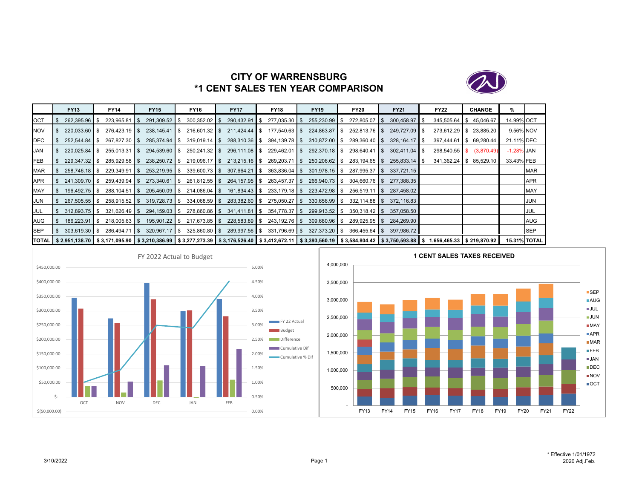

# **CITY OF WARRENSBURG\*1 CENT SALES TEN YEAR COMPARISON**

|            | <b>FY13</b>       | <b>FY14</b>                                                                                                                                                                                    | <b>FY15</b>     | <b>FY16</b>                               | <b>FY17</b>     |     | <b>FY18</b>     | <b>FY19</b>     | <b>FY20</b>     | <b>FY21</b>             | <b>FY22</b>             |     | <b>CHANGE</b> | %          |                     |
|------------|-------------------|------------------------------------------------------------------------------------------------------------------------------------------------------------------------------------------------|-----------------|-------------------------------------------|-----------------|-----|-----------------|-----------------|-----------------|-------------------------|-------------------------|-----|---------------|------------|---------------------|
| <b>OCT</b> | 262.395.96 \$     | $223.965.81$ S                                                                                                                                                                                 | 291,309.52 \$   | $300,352.02$ \$                           | 290,432.91      | IS. | $277,035.30$ \$ | $255,230.99$ \$ | 272.805.07 \$   | $300,458.97$ \$         | 345,505.64              | IS. | 45,046.67     | 14.99% OCT |                     |
| <b>NOV</b> | $220.033.60$ S    | $276,423.19$ \$                                                                                                                                                                                | $238,145.41$ \$ | $216,601.32$ \$                           | 211,424.44 \$   |     | $177,540.63$ \$ | 224,863.87 \$   | $252,813.76$ \$ | 249,727.09 \$           | 273,612.29 \$           |     | 23,885.20     | 9.56% NOV  |                     |
| DEC        | $252.544.84$ \ \$ | $267,827.30$ \$                                                                                                                                                                                | 285,374.94 \$   | $319,019.14$ \$                           | $288,310.36$ \$ |     | $394,139.78$ \$ | $310,872.00$ \$ | $289,360.40$ \$ | 328,164.17              | 397,444.61 \$ 69,280.44 |     |               | 21.11% DEC |                     |
| <b>JAN</b> |                   | $255,013.31$ \$                                                                                                                                                                                | 294,539.60 \$   | $250,241.32$ \$                           | $296,111.08$ \$ |     | $229,462.01$ \$ | 292,370.18 \$   | $298,640.41$ \$ |                         | $298,540.55$ \$         |     | (3,870.49)    | -1.28% JAN |                     |
| <b>FEB</b> | $229,347.32$ \$   | $285,929.58$ \$                                                                                                                                                                                | $238,250.72$ \$ | $219,096.17$ \$                           | $213,215.16$ \$ |     | $269,203.71$ \$ | 250,206.62 \$   | $283,194.65$ \$ | $255,833.14$ \$         | $341,362.24$ \$         |     | 85,529.10     | 33.43% FEB |                     |
| <b>MAR</b> | 258,746.18   \$   | $229,349.91$ \$                                                                                                                                                                                | 253,219.95 \$   | $339,600.73$ \$                           | $307,664.21$ \$ |     | $363,836.04$ \$ | $301,978.15$ \$ | 287,995.37 \$   | 337.721.15              |                         |     |               |            | <b>MAR</b>          |
| <b>APR</b> | $241.309.70$ S    | 259.439.94 \$                                                                                                                                                                                  | $273.340.61$ S  | 261.812.55 S                              | 264.157.95 \$   |     | $263.457.37$ \$ | 266.940.73 \$   | 304.660.76 S    | 277.388.35              |                         |     |               |            | <b>APR</b>          |
| MAY        | 196.492.75 \$     |                                                                                                                                                                                                | $205,450.09$ \$ | $214,086.04$ \$                           | 161,834.43 \$   |     | $233,179.18$ \$ | 223,472.98 \$   | $256,519.11$ \$ | 287.458.02              |                         |     |               |            | MAY                 |
| <b>JUN</b> | $267.505.55$ \$   | 258.915.52 \$                                                                                                                                                                                  | $319.728.73$ \$ | $334,068.59$ \$                           | $283.382.60$ \$ |     | 275.050.27 \$   | $330,656.99$ \$ | $332.114.88$ S  | 372.116.83              |                         |     |               |            | JUN                 |
| JUL        | 312.893.75 \$     |                                                                                                                                                                                                |                 | 321,626.49 \$ 294,159.03 \$ 278,860.86 \$ | 341.411.81 S    |     | $354,778.37$ \$ | 299,913.52 \$   | $350.318.42$ S  | 357,058.50              |                         |     |               |            | JUL                 |
| AUG        | $186,223.91$ \$   | $218,005.63$ \$                                                                                                                                                                                | 195,901.22 \$   | $217,673.85$ \$                           | 228,583.89 \$   |     | 243,192.76 \$   | 309,680.96 \$   | $289,925.95$ \$ | 284,269.90              |                         |     |               |            | AUG                 |
| <b>SEP</b> | $303,619.30$ \$   | 286,494.71 \$                                                                                                                                                                                  |                 | 320,967.17 \$ 325,860.80 \$               | 289,997.56 \$   |     | $331,796.69$ \$ | 327,373.20 \$   |                 | 366,455.64 \$397,986.72 |                         |     |               |            | SEP                 |
|            |                   | TOTAL   \$2,951,138.70   \$3,171,095.90   \$3,210,386.99   \$3,277,273.39   \$3,176,526.40   \$3,412,672.11   \$3,393,560.19   \$3,584,804.42   \$3,750,593.88   \$1,656,465.33   \$219,870.92 |                 |                                           |                 |     |                 |                 |                 |                         |                         |     |               |            | <b>15.31% TOTAL</b> |



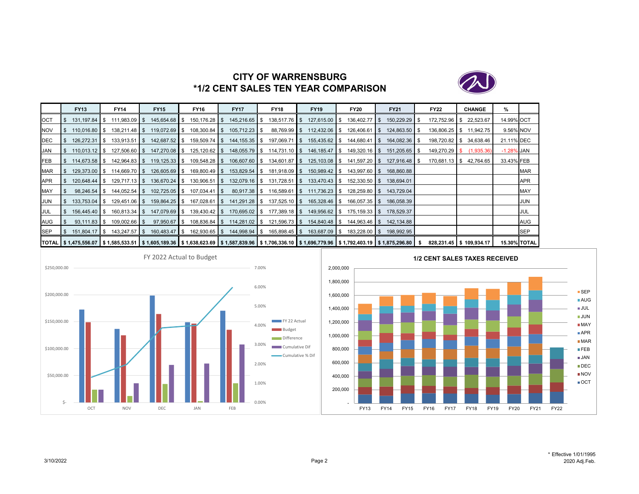

# **CITY OF WARRENSBURG\*1/2 CENT SALES TEN YEAR COMPARISON**

|            | <b>FY13</b>         | <b>FY14</b>                                                                                                                                                                  | <b>FY15</b>     | <b>FY16</b>                       | <b>FY17</b>                 | <b>FY18</b>                 | <b>FY19</b>                     | <b>FY20</b>                                                                                   | <b>FY21</b>     | <b>FY22</b>             | <b>CHANGE</b>           | %             |                     |
|------------|---------------------|------------------------------------------------------------------------------------------------------------------------------------------------------------------------------|-----------------|-----------------------------------|-----------------------------|-----------------------------|---------------------------------|-----------------------------------------------------------------------------------------------|-----------------|-------------------------|-------------------------|---------------|---------------------|
| OCT        |                     | $111,983.09$ \$                                                                                                                                                              | 145,654.68 \$   | $150, 176.28$ \$                  | 145,216.65 \$               | $138,517.76$ \$             | 127,615.00 \$                   | 136,402.77 \$                                                                                 | 150,229.29 \$   | 172,752.96 \$           | 22,523.67               | 14.99% OCT    |                     |
| <b>NOV</b> | $110.016.80$ S      |                                                                                                                                                                              | 119,072.69 \$   | $108,300.84$ \$                   | $105,712.23$ \$             | $88,769.99$ \$              | 112,432.06 \$                   | 126,406.61 \$                                                                                 | 124,863.50 \$   |                         | 136,806.25 \$ 11,942.75 |               | 9.56% NOV           |
| <b>DEC</b> | 126,272.31   \$     | $133,913.51$ \$                                                                                                                                                              | 142,687.52 \$   | 159,509.74 \$                     | 144, 155. 35 \$             |                             | 197,069.71 \$ 155,435.62 \$     | $144,680.41$ \$                                                                               | 164,082.36 \$   |                         | 198,720.82 \$ 34,638.46 | 21.11% DEC    |                     |
| JAN        | $110.013.12$ S      | $127,506.60$ \$                                                                                                                                                              | 147,270.08 \$   |                                   |                             | 148,055.79 \$ 114,731.10 \$ | 146,185.47 \$                   | $149,320.16$ \$                                                                               | 151,205.65   \$ | 149,270.29 \$           | (1,935.36)              | $-1.28\%$ JAN |                     |
| FEB        | 114,673.58 \$       | 142,964.83 \$                                                                                                                                                                |                 | $119, 125.33$ \$ $109, 548.28$ \$ |                             | 106,607.60 \$ 134,601.87 \$ | 125,103.08 \$                   | 141,597.20 \$                                                                                 | 127,916.48 \$   |                         | 170,681.13 \$42,764.65  | 33.43% FEB    |                     |
| <b>MAR</b> | 129.373.00 \$       | $114,669.70$ \$                                                                                                                                                              | 126,605.69 \$   | 169,800.49 \$                     | 153,829.54 \$               | $181,918.09$ \$             | 150,989.42 \$                   | 143,997.60 \$                                                                                 | 168.860.88      |                         |                         |               | <b>MAR</b>          |
| <b>APR</b> | $120.648.44$ \ \ \$ | $129.717.13$ S                                                                                                                                                               | 136.670.24 \$   | $130,906.51$ \$                   | 132,079.16 \$               | $131,728.51$ \$             | 133.470.43 \$                   | $152,330.50$ \$                                                                               | 138.694.01      |                         |                         |               | APR                 |
| MAY        | $98,246.54$ \$      | $144,052.54$ \$                                                                                                                                                              | $102,725.05$ \$ | $107,034.41$ $\sqrt$              | $80,917.38$ $\sqrt{\ }$     |                             | $116,589.61$ \$ $111,736.23$ \$ | 128,259.80 \$                                                                                 | 143,729.04      |                         |                         |               | <b>MAY</b>          |
| JUN        | $133,753.04$ \$     | $129,451.06$ \$                                                                                                                                                              | 159,864.25 \$   | $167,028.61$ \$                   |                             | 141,291.28 \$ 137,525.10 \$ | 165,328.46 \$                   | $166,057.35$ \$                                                                               | 186,058.39      |                         |                         |               | JUN                 |
| <b>JUL</b> | $156.445.40$ S      | $160.813.34$ S                                                                                                                                                               | 147.079.69 \$   | 139.430.42 S                      | 170,695.02 \$               | $177.389.18$ \$             | 149.956.62 \$                   | $175.159.33$ \$                                                                               | 178.529.37      |                         |                         |               | JUL                 |
| AUG        | $93,111.83$ \$      | $109,002.66$ \$                                                                                                                                                              |                 |                                   |                             |                             |                                 | 97,950.67 \$ 108,836.84 \$ 114,281.02 \$ 121,596.73 \$ 154,840.48 \$ 144,963.46 \$ 142,134.88 |                 |                         |                         |               | <b>AUG</b>          |
| <b>SEP</b> | 151,804.17 \$       | $143,247.57$ \$                                                                                                                                                              | 160,483.47 \$   |                                   | 162,930.65 \$ 144,998.94 \$ | $165,898.45$ \$             | 163,687.09 \$                   | 183,228.00 \$                                                                                 | 198,992.95      |                         |                         |               | <b>SEP</b>          |
|            |                     | TOTAL   \$ 1,475,556.07   \$ 1,585,533.51   \$ 1,605,189.36   \$ 1,638,623.69   \$ 1,587,839.96   \$ 1,706,336.10   \$ 1,696,779.96   \$ 1,792,403.19   \$ 1,875,296.80   \$ |                 |                                   |                             |                             |                                 |                                                                                               |                 | 828,231.45 \$109,934.17 |                         |               | <b>15.30% TOTAL</b> |



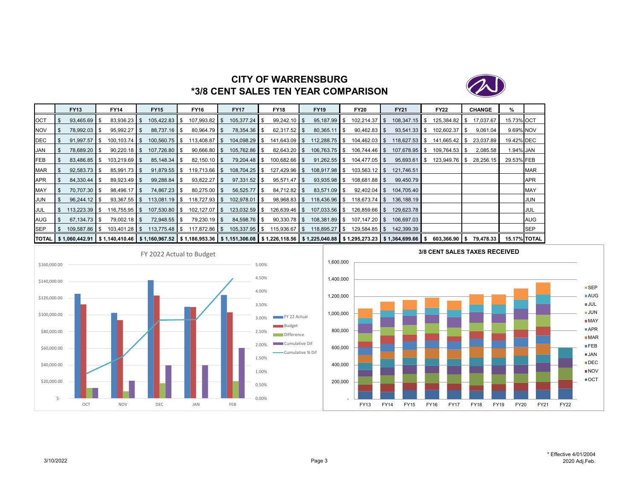

# **CITY OF WARRENSBURG\*3/8 CENT SALES TEN YEAR COMPARISON**

|            | <b>FY13</b>              | <b>FY14</b>                                                                                                                                    | <b>FY15</b>     | <b>FY16</b>      | <b>FY17</b>     | <b>FY18</b>     | <b>FY19</b>     | <b>FY20</b>     | <b>FY21</b>     | <b>FY22</b>   | <b>CHANGE</b> | %          |                     |
|------------|--------------------------|------------------------------------------------------------------------------------------------------------------------------------------------|-----------------|------------------|-----------------|-----------------|-----------------|-----------------|-----------------|---------------|---------------|------------|---------------------|
| <b>OCT</b> | 93,465.69 \$             | $83,936.23$ \$                                                                                                                                 | 105,422.83 \$   | 107,993.82 \$    | 105,377.24 \$   | $99,242.10$ \$  | $95,187.99$ \$  | $102,214.37$ \$ | $108,347.15$ \$ | 125,384.82 \$ | 17,037.67     | 15.73% OCT |                     |
| NOV        | 78,992.03 \$             | $95,992.27$ \$                                                                                                                                 | 88,737.16   \$  | $80,964.79$ \$   | 78,354.36 \$    | $62,317.52$ \$  |                 | $90,462.83$ \$  | $93,541.33$ \$  | 102,602.37 \$ | 9,061.04      | 9.69% NOV  |                     |
| <b>DEC</b> | $91.997.57$ S            | $100, 103.74$ \$                                                                                                                               | $100,560.75$ \$ | $113,408.87$ \$  | 104,098.29 \$   | $141,643.09$ \$ | $112,288.75$ \$ | $104,462.03$ \$ | $118,627.53$ \$ | 141,665.42 \$ | 23,037.89     | 19.42% DEC |                     |
| <b>JAN</b> | 78.689.20 \$             | $90.220.18$ S                                                                                                                                  | 107,726.80 \$   | $90,666.80$ \$   | 105,762.86 \$   |                 | $106.763.75$ S  | $106,744.46$ \$ | 107.678.95 \$   | 109.764.53 \$ | 2,085.58      | 1.94% JAN  |                     |
| FEB        | 83,486.85 \$             | $103,219.69$ \$                                                                                                                                |                 | $82,150.10$ \$   | 79,204.48 \$    | $100,682.66$ \$ | $91,262.55$ \$  | $104,477.05$ \$ | $95,693.61$ \$  | 123,949.76 \$ | 28,256.15     | 29.53% FEB |                     |
| <b>MAR</b> | $92,583.73$ \$           | $85,991.73$ \$                                                                                                                                 | $91,879.55$ \$  | $119,713.66$ \$  | 108,704.25 \$   | 127,429.96 \$   | 108,917.98 \$   | $103,563.12$ \$ | 121,746.51      |               |               |            | <b>MAR</b>          |
| APR        | $84.330.44$ S            | $89,923.49$ \$                                                                                                                                 | 99,288.84 \$    | $93,822.27$ \$   | $97,331.52$ \$  | $95,571.47$ \$  | $93,935.98$ \$  | $108,681.88$ \$ | 99,450.79       |               |               |            | APR                 |
| MAY        | 70,707.30 \$             | $98,496.17$ \$                                                                                                                                 | 74,867.23 \$    | $80,275.00$ \$   | $56,525.77$ \$  | $84,712.82$ \$  | $83,571.09$ \$  | $92,402.04$ \$  | 104,705.40      |               |               |            | <b>MAY</b>          |
| <b>JUN</b> | $96,244.12$ \$           | $93,367.55$ \$                                                                                                                                 | $113,081.19$ \$ | $118,727.93$ \$  | 102,978.01 \$   | $98,968.83$ \$  | 118,436.96 \$   | $118.673.74$ S  | 136.188.19      |               |               |            | JUN                 |
| <b>JUL</b> | $113,223.39$ \$          | $116,755.95$ \$                                                                                                                                | 107,530.80 \$   | $102, 127.07$ \$ | $123,032.59$ \$ | $126,639.46$ \$ | $107,033.56$ \$ | $126,859.66$ \$ | 129,623.78      |               |               |            | JUL                 |
| <b>AUG</b> | $67.134.73$ $\textbf{S}$ | $79.002.18$ S                                                                                                                                  | 72,948.55 \$    | $79,230.19$ \$   | 84,598.76 \$    | $90,330.78$ \$  | $108,381.89$ \$ | $107.147.20$ S  | 106.697.03      |               |               |            | AUG                 |
| <b>SEP</b> | 109.587.86 \$            | $103,401.28$ \$                                                                                                                                | 113,775.48 \$   | 117,872.86 \$    | $105,337.95$ \$ | $115,936.67$ \$ | 118,895.27 \$   | $129,584.85$ \$ | 142,399.39      |               |               |            | <b>SEP</b>          |
|            |                          | TOTAL S 1,060,442.91 S 1,140,410.46 S 1,160,967.52 S 1,186,953.36 S 1,151,306.08 S 1,226,118.56 S 1,225,040.88 S 1,295,273.23 S 1,364,699.66 S |                 |                  |                 |                 |                 |                 |                 | 603.366.90 S  | 79.478.33     |            | <b>15.17% TOTAL</b> |



**SEP** ■AUG JUL JUN**■MAY** ■APR **■MAR BFEB** JAN**DEC** ■NOV  $\blacksquare$  OCT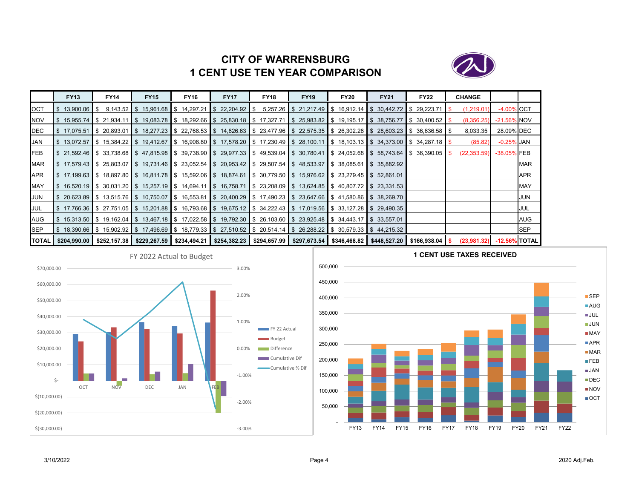# **CITY OF WARRENSBURG1 CENT USE TEN YEAR COMPARISON**



|               | <b>FY13</b>             | <b>FY14</b> | <b>FY15</b>                                                                                                                               | <b>FY16</b> | <b>FY17</b> | <b>FY18</b> | <b>FY19</b> | <b>FY20</b>                                                                                                        | <b>FY21</b> | <b>FY22</b> | <b>CHANGE</b> |                |            |
|---------------|-------------------------|-------------|-------------------------------------------------------------------------------------------------------------------------------------------|-------------|-------------|-------------|-------------|--------------------------------------------------------------------------------------------------------------------|-------------|-------------|---------------|----------------|------------|
| <b>OCT</b>    | \$13,900.06             |             | $9,143.52$ \$ 15,961.68 \$ 14,297.21 \$ 22,204.92 \$                                                                                      |             |             |             |             | $5,257.26$ \$ 21,217.49 \$ 16,912.14 \$ 30,442.72 \$ 29,223.71 \$                                                  |             |             | (1,219.01)    | -4.00% OCT     |            |
| <b>NOV</b>    | \$15,955.74             |             | \$21,934.11   \$19,083.78   \$18,292.66   \$25,830.18   \$17,327.71                                                                       |             |             |             |             | $\parallel$ \$ 25,983.82 $\parallel$ \$ 19,195.17 $\parallel$ \$ 38,756.77 $\parallel$ \$ 30,400.52 $\parallel$ \$ |             |             | (8,356.25)    | $-21.56\%$ NOV |            |
| DEC           | $\frac{1}{2}$ 17,075.51 |             | IS 20.893.01 IS 18.277.23 IS 22.768.53 IS 14.826.63 IS 23.477.96 IS 22.575.35 IS 26.302.28 IS 28.603.23 IS 36.636.58 IS                   |             |             |             |             |                                                                                                                    |             |             | 8,033.35      | 28.09% DEC     |            |
| <b>JAN</b>    |                         |             | \$13,072.57 \$15,384.22 \$19,412.67 \$16,908.80 \$17,578.20 \$17,230.49 \$28,100.11 \$18,103.13 \$34,373.00 \$34,287.18 \$                |             |             |             |             |                                                                                                                    |             |             | (85.82)       | $-0.25\%$ JAN  |            |
| <b>FEB</b>    |                         |             | \$21,592.46  \$33,738.68  \$47,815.98  \$39,738.90  \$29,977.33  \$49,539.04  \$30,780.41  \$24,052.68  \$58,743.64  \$36,390.05  \$      |             |             |             |             |                                                                                                                    |             |             | (22, 353.59)  | -38.05% FEB    |            |
| <b>MAR</b>    |                         |             | \$17,579.43  \$25,803.07  \$19,731.46  \$23,052.54  \$20,953.42  \$29,507.54  \$48,533.97  \$38,085.61  \$35,882.92                       |             |             |             |             |                                                                                                                    |             |             |               |                | <b>MAR</b> |
| APR           |                         |             | \$17,199.63  \$18,897.80  \$16,811.78  \$15,592.06  \$18,874.61  \$30,779.50  \$15,976.62  \$23,279.45  \$52,861.01                       |             |             |             |             |                                                                                                                    |             |             |               |                | <b>APR</b> |
| <b>MAY</b>    |                         |             | \$16,520.19  \$30,031.20  \$15,257.19  \$14,694.11  \$16,758.71  \$23,208.09  \$13,624.85  \$40,807.72  \$23,331.53                       |             |             |             |             |                                                                                                                    |             |             |               |                | <b>MAY</b> |
| <b>JUN</b>    |                         |             | \$ 20.623.89 \$ 13.515.76 \$ 10.750.07 \$ 16.553.81 \$ 20.400.29 \$ 17.490.23 \$ 23.647.66 \$ 41.580.86 \$ 38.269.70                      |             |             |             |             |                                                                                                                    |             |             |               |                | <b>JUN</b> |
| <b>JUL</b>    |                         |             | \$17,766.36 \$27,751.05 \$15,201.88 \$16,793.68 \$19,675.12 \$34,222.43 \$17,019.56 \$33,127.28 \$29,490.35                               |             |             |             |             |                                                                                                                    |             |             |               |                | JUL        |
| <b>AUG</b>    |                         |             | \$15,313.50  \$19,162.04  \$13,467.18  \$17,022.58  \$19,792.30  \$26,103.60  \$23,925.48  \$34,443.17  \$33,557.01                       |             |             |             |             |                                                                                                                    |             |             |               |                | AUG        |
| <b>SEP</b>    |                         |             | S 18,390.66 S 15,902.92 S 17,496.69 S 18,779.33 S 27,510.52 S 20,514.14 S 26,288.22 S 30,579.33 S 44,215.32 S                             |             |             |             |             |                                                                                                                    |             |             |               |                | <b>SEP</b> |
| <b>ITOTAL</b> | \$204,990.00            |             | \$252,157.38   \$229,267.59   \$234,494.21   \$254,382.23   \$294,657.99   \$297,673.54   \$346,468.82   \$448,527.20   \$166,938.04   \$ |             |             |             |             |                                                                                                                    |             |             | (23,981,32)   | -12.56% TOTAL  |            |



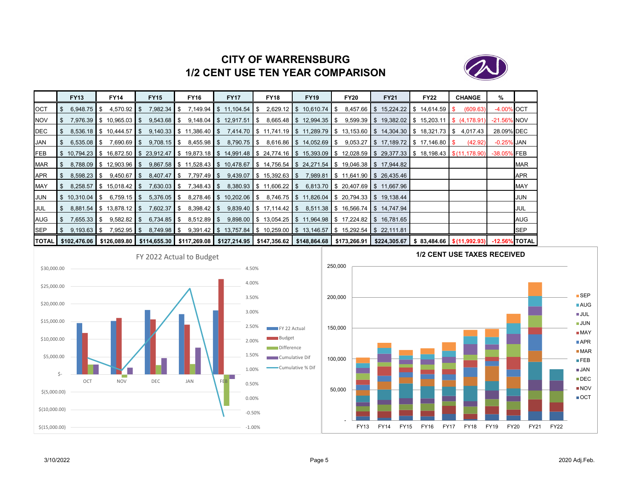

# **CITY OF WARRENSBURG1/2 CENT USE TEN YEAR COMPARISON**

|              | <b>FY13</b>             | <b>FY14</b>                                        | <b>FY15</b>   | <b>FY16</b>                                                                                                             | <b>FY17</b>             | <b>FY18</b>                | <b>FY19</b>                    | <b>FY20</b>                                                                                              | <b>FY21</b>                             | <b>FY22</b>                                  | <b>CHANGE</b>         | %                |            |
|--------------|-------------------------|----------------------------------------------------|---------------|-------------------------------------------------------------------------------------------------------------------------|-------------------------|----------------------------|--------------------------------|----------------------------------------------------------------------------------------------------------|-----------------------------------------|----------------------------------------------|-----------------------|------------------|------------|
| OCT          | 6,948.75                | $4,570.92$ \$<br>IS.                               |               |                                                                                                                         | 7,149.94 \$11,104.54 \$ |                            | $2,629.12$ \$ 10,610.74 \$     |                                                                                                          | $8,457.66$ \$ 15,224.22 \$ 14,614.59 \$ |                                              | (609.63)              | -4.00% OCT       |            |
| <b>NOV</b>   |                         | 7.976.39 \$ 10.965.03                              |               |                                                                                                                         | $9,148.04$ \$ 12,917.51 | IS.                        | $8,665.48$ \ \$ 12,994.35 \ \$ |                                                                                                          | $9,599.39$ \$ 19,382.02 \$ 15,203.11    |                                              | $\sqrt{5}$ (4,178.91) | $-21.56\%$ NOV   |            |
| DEC          |                         | 8,536.18 \$ 10,444.57                              | S.            | 9,140.33 \$ 11,386.40 \$ 7,414.70 \$ 11,741.19 \$ 11,289.79 \$ 13,153.60 \$ 14,304.30 \$ 18,321.73 \$ 4,017.43          |                         |                            |                                |                                                                                                          |                                         |                                              |                       | 28.09% DEC       |            |
| JAN          | $6,535.08$ \$           | $7,690.69$ \ \$                                    | $9,708.15$ \$ |                                                                                                                         |                         |                            |                                | $8,790.75$ $\$\$ $8,616.86$ $\$\$ $14,052.69$ $\$\$ $9,053.27$ $\$\$ $17,189.72$ $\$\$ $17,146.80$ $\$\$ |                                         |                                              | (42.92)               | -0.25% JAN       |            |
| <b>IFEB</b>  |                         | \$10.794.23 \$16.872.50 \$                         |               | \$ 23,912.47 \$ 19,873.18 \$ 14,991.48 \$ 24,774.16 \$ 15,393.09 \$ 12,028.59 \$ 29,377.33 \$ 18,198.43 \$ \$ 11,178.90 |                         |                            |                                |                                                                                                          |                                         |                                              |                       | -38.05% FEB      |            |
| MAR          |                         | $8,788.09$ $\parallel$ \$ 12,903.96 $\parallel$ \$ |               | 9,867.58 \$ 11,528.43 \$ 10,478.67 \$ 14,756.54 \$ 24,271.54 \$ 19,046.38 \$ 17,944.82                                  |                         |                            |                                |                                                                                                          |                                         |                                              |                       |                  | <b>MAR</b> |
| APR          | 8,598.23                | 9,450.67<br>IS.                                    | $\cdot$ \$    | 7,797.49 \$                                                                                                             |                         |                            |                                | $9,439.07$ \$ 15,392.63 \$ 7,989.81 \$ 11,641.90 \$ 26,435.46                                            |                                         |                                              |                       |                  | <b>APR</b> |
| MAY          | 8,258.57                | $\parallel$ \$ 15,018.42 $\parallel$ \$            |               |                                                                                                                         |                         | $8,380.93$ \$ 11,606.22 \$ |                                | 6,813.70 \$ 20,407.69 \$ 11,667.96                                                                       |                                         |                                              |                       |                  | <b>MAY</b> |
| <b>JUN</b>   | $\frac{1}{2}$ 10,310.04 | $6,759.15$ $\sqrt{5}$<br>IS.                       | $5,376.05$ \$ |                                                                                                                         |                         |                            |                                | 8,278.46 \$ 10,202.06 \$ 8,746.75 \$ 11,826.04 \$ 20,794.33 \$ 19,138.44                                 |                                         |                                              |                       |                  | JUN        |
| JUL          |                         | 8,881.54 \$13,878.12 \$                            | $7,602.37$ \$ | $8,398.42$ \$                                                                                                           |                         |                            |                                | $9,839.40$ \$ 17,114.42 \$ 8,511.38 \$ 16,566.74 \$ 14,747.94                                            |                                         |                                              |                       |                  | JUL        |
| <b>AUG</b>   | $7.655.33$ S            | $9,582.82$ \$                                      | $6,734.85$ \$ |                                                                                                                         |                         |                            |                                | $9,898.00$ \$ 13,054.25 \$ 11,964.98 \$ 17,224.82 \$ 16,781.65                                           |                                         |                                              |                       |                  | AUG        |
| <b>SEP</b>   | $9,193.63$ \$           | $7,952.95$ \$                                      |               |                                                                                                                         |                         |                            |                                | $9,391.42$ \$ 13,757.84 \$ 10,259.00 \$ 13,146.57 \$ 15,292.54 \$ 22,111.81                              |                                         |                                              |                       |                  | <b>SEP</b> |
| <b>TOTAL</b> | \$102,476.06            | \$126,089.80                                       |               | \$114,655.30   \$117,269.08   \$127,214.95   \$147,356.62   \$148,864.68   \$173,266.91                                 |                         |                            |                                |                                                                                                          |                                         | $$224,305.67$   \$ 83,484.66   \$(11,992.93) |                       | $-12.56\%$ TOTAL |            |



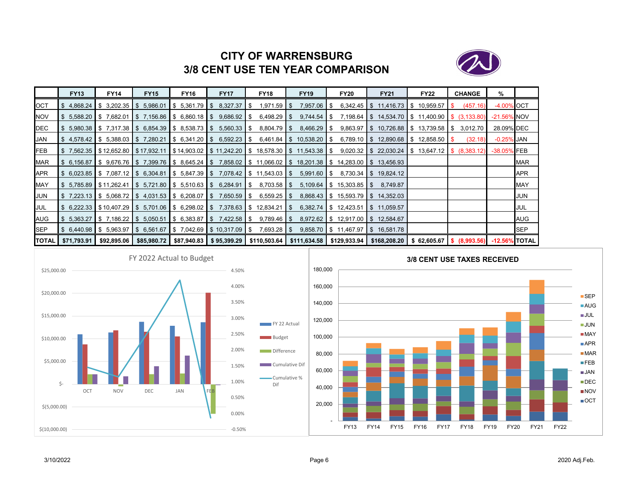

# **CITY OF WARRENSBURG3/8 CENT USE TEN YEAR COMPARISON**

|              | <b>FY13</b>                                      | <b>FY14</b>                         | <b>FY15</b>     | <b>FY16</b> | <b>FY17</b>                                                      | <b>FY18</b>                                                                                                                                                                          | <b>FY19</b>                 | <b>FY20</b>                      | <b>FY21</b>                                                                                                                                        | <b>FY22</b> | <b>CHANGE</b> | %             |            |
|--------------|--------------------------------------------------|-------------------------------------|-----------------|-------------|------------------------------------------------------------------|--------------------------------------------------------------------------------------------------------------------------------------------------------------------------------------|-----------------------------|----------------------------------|----------------------------------------------------------------------------------------------------------------------------------------------------|-------------|---------------|---------------|------------|
| OCT          | \$4,868.24                                       | \$3,202.35                          | 5,986.01<br>IS. | \$5,361.79  | 8,327.37<br><b>IS</b>                                            | 1,971.59<br>S.                                                                                                                                                                       | 7,957.06<br>l \$            | IS.                              | $6,342.45$ \$ 11,416.73                                                                                                                            | \$10,959.57 | (457.16)      | -4.00% OCT    |            |
| <b>NOV</b>   | $$5,588.20$ $$7,682.01$                          |                                     |                 |             | $\$\$$ 7,156.86 \\$ 6,860.18 \\$ 9,686.92 \\$                    | 6,498.29 \$                                                                                                                                                                          |                             |                                  | $9,744.54$ \$ 7,198.64 \$ 14,534.70 \$ 11,400.90 \$ (3,133.80)                                                                                     |             |               | -21.56% NOV   |            |
| <b>IDEC</b>  |                                                  |                                     |                 |             | $$5,980.38$ $$7,317.38$ $$6,854.39$ $$8,538.73$ $$5,560.33$ $$5$ | 8,804.79 \$                                                                                                                                                                          | $8,466.29$ \$               |                                  | $9,863.97$ \$ 10,726.88 \$ 13,739.58 \$                                                                                                            |             | 3,012.70      | 28.09% DEC    |            |
| JAN          |                                                  | $$4,578.42$ $$5,388.03$ $$7,280.21$ |                 |             |                                                                  |                                                                                                                                                                                      | 6,461.84   \$10,538.20   \$ |                                  | 6,789.10 $\parallel$ \$ 12,890.68 $\parallel$ \$ 12,858.50 $\parallel$ \$                                                                          |             | (32.18)       | $-0.25\%$ JAN |            |
| FEB          |                                                  |                                     |                 |             |                                                                  | $\frac{1}{3}$ 7,562.35 $\frac{1}{3}$ 12,652.80 $\frac{1}{3}$ 17,932.11 $\frac{1}{3}$ 14,903.02 $\frac{1}{3}$ 11,242.20 $\frac{1}{3}$ 18,578.30 $\frac{1}{3}$ 11,543.38 $\frac{1}{3}$ |                             |                                  | $9,020.32$ \$ 22,030.24 \$ 13,647.12 \$ (8,383.12)                                                                                                 |             |               | -38.05% FEB   |            |
| <b>MAR</b>   |                                                  |                                     |                 |             |                                                                  |                                                                                                                                                                                      |                             |                                  | \$6,156.87 \$9,676.76 \$7,399.76 \$8,645.24 \$7,858.02 \$11,066.02 \$18,201.38 \$14,283.00 \$13,456.93                                             |             |               |               | <b>MAR</b> |
| APR          |                                                  |                                     |                 |             |                                                                  | $$6,023.85$ $$7,087.12$ $$6,304.81$ $$5,847.39$ $$7,078.42$ $$11,543.03$ $$5$                                                                                                        | $5,991.60$ $\sqrt$          |                                  | 8,730.34 \$19,824.12                                                                                                                               |             |               |               | <b>APR</b> |
| <b>MAY</b>   | $\frac{1}{2}$ 5.785.89 $\frac{1}{2}$ \$11,262.41 |                                     |                 |             |                                                                  | $\$\,5,721.80\,$ \ $\$$ 5,510.63 \ $\$$ 6,284.91 \ $\$$ 8,703.58 \ $\$$                                                                                                              |                             | $5,109.64$ \$ 15,303.85 \$       | 8,749.87                                                                                                                                           |             |               |               | <b>MAY</b> |
| JUN          |                                                  |                                     |                 |             | $$7,223.13$ $$5,068.72$ $$4,031.53$ $$6,208.07$ $$7,650.59$ $$5$ | $6,559.25$ \$                                                                                                                                                                        |                             |                                  | 8,868.43 \$ 15,593.79 \$ 14,352.03                                                                                                                 |             |               |               | JUN        |
| JUL          |                                                  |                                     |                 |             |                                                                  | $$6,222.33$ $$10,407.29$ $$5,701.06$ $$6,298.02$ $$7,378.63$ $$12,834.21$ $$5$                                                                                                       |                             | $6,382.74$ \$ 12,423.51          | $\frac{1}{2}$ 11,059.57                                                                                                                            |             |               |               | JUL        |
| AUG          |                                                  |                                     |                 |             | $$5,363.27$ $$7,186.22$ $$5,050.51$ $$6,383.87$ $$7,422.58$ $$5$ | $9,789.46$ \ $$$                                                                                                                                                                     |                             | 8,972.62 \$12,917.00 \$12,584.67 |                                                                                                                                                    |             |               |               | AUG        |
| SEP          |                                                  |                                     |                 |             | $$6,440.98$ $$5,963.97$ $$6,561.67$ $$7,042.69$ $$10,317.09$ $$$ | 7,693.28 \$                                                                                                                                                                          |                             |                                  | $9,858.70$ \$ 11,467.97 \$ 16,581.78                                                                                                               |             |               |               | SEP        |
| <b>TOTAL</b> | \$71,793.91                                      | \$92,895.06                         |                 |             |                                                                  |                                                                                                                                                                                      |                             |                                  | \$85,980.72   \$87,940.83   \$95,399.29   \$110,503.64   \$111,634.58   \$129,933.94   \$168,208.20   \$62,605.67   \$68,993.56)   -12.56%   TOTAL |             |               |               |            |





■SEP AUG JULJUN**■ MAY** ■APR **■** MAR **FEB** JAN■DEC ■NOV OCT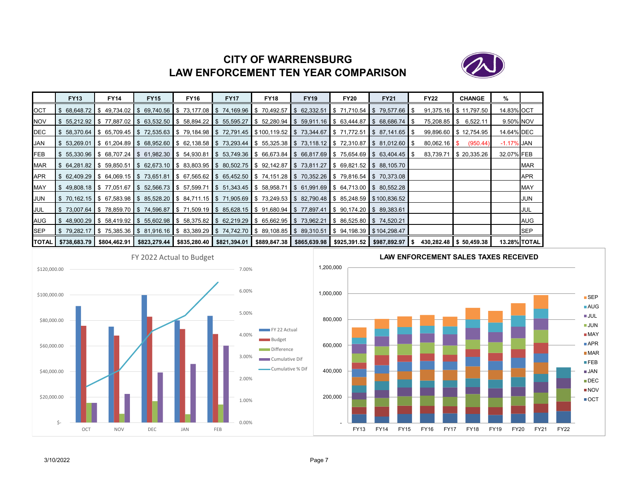# **CITY OF WARRENSBURGLAW ENFORCEMENT TEN YEAR COMPARISON**



|            | <b>FY13</b>                   | FY14 | <b>FY15</b>                                                                                                          | <b>FY16</b> | <b>FY17</b> | <b>FY18</b> | <b>FY19</b> | <b>FY20</b> | <b>FY21</b>                                                                                                                      | <b>FY22</b>    | <b>CHANGE</b>          | %                   |             |
|------------|-------------------------------|------|----------------------------------------------------------------------------------------------------------------------|-------------|-------------|-------------|-------------|-------------|----------------------------------------------------------------------------------------------------------------------------------|----------------|------------------------|---------------------|-------------|
| OCT        |                               |      |                                                                                                                      |             |             |             |             |             | \$68.648.72 \$49.734.02 \$69.740.56 \$73.177.08 \$74.169.96 \$70.492.57 \$62.332.51 \$71.710.54 \$79.577.66 \$                   |                | 91,375.16 \$11,797.50  | 14.83% OCT          |             |
| NOV        |                               |      |                                                                                                                      |             |             |             |             |             | \$55,212.92 \$77,887.02 \$63,532.50 \$58,894.22 \$55,595.27 \$52,280.94 \$59,911.16 \$63,444.87 \$68,686.74 \$                   |                | 75,208.85 \$ 6,522.11  | 9.50% NOV           |             |
| DEC        |                               |      |                                                                                                                      |             |             |             |             |             | \$ 58,370.64  \$ 65,709.45  \$ 72,535.63  \$ 79,184.98  \$ 72,791.45  \$100,119.52  \$ 73,344.67  \$ 71,772.51  \$ 87,141.65  \$ |                | 99,896.60 \$12,754.95  | 14.64% DEC          |             |
| JAN        |                               |      |                                                                                                                      |             |             |             |             |             | \$53,269.01 \$61,204.89 \$68,952.60 \$62,138.58 \$73,293.44 \$55,325.38 \$73,118.12 \$72,310.87 \$81,012.60 \$                   | $80,062.16$ \$ | (950.44)               | $-1.17\%$ JAN       |             |
| <b>FEB</b> |                               |      |                                                                                                                      |             |             |             |             |             | \$55,330.96 \$68,707.24 \$61,982.30 \$54,930.81 \$53,749.36 \$66,673.84 \$66,817.69 \$75,654.69 \$63,404.45 \$                   | 83,739.71      | \$20,335.26            | 32.07% FEB          |             |
| MAR        |                               |      |                                                                                                                      |             |             |             |             |             | \$64,281.82  \$59,850.51  \$62,673.10  \$83,803.95  \$80,502.75  \$92,142.87  \$73,811.27  \$69,821.52  \$88,105.70              |                |                        |                     | <b>MAR</b>  |
| APR        |                               |      |                                                                                                                      |             |             |             |             |             | \$62,409.29 \$64,069.15 \$73,651.81 \$67,565.62 \$65,452.50 \$74,151.28 \$70,352.26 \$79,816.54 \$70,373.08                      |                |                        |                     | <b>APR</b>  |
| MAY        |                               |      |                                                                                                                      |             |             |             |             |             | \$ 49,808.18  \$ 77,051.67  \$ 52,566.73  \$ 57,599.71  \$ 51,343.45  \$ 58,958.71  \$ 61,991.69  \$ 64,713.00  \$ 80,552.28     |                |                        |                     | <b>MAY</b>  |
| JUN        |                               |      |                                                                                                                      |             |             |             |             |             | \$70,162.15  \$67,583.98  \$85,528.20  \$84,711.15  \$71,905.69  \$73,249.53  \$82,790.48  \$85,248.59  \$100,836.52             |                |                        |                     | <b>JUN</b>  |
| JUL        |                               |      | \$73,007.64 \$78,859.70 \$74,596.87 \$71,509.19 \$85,628.15 \$91,680.94 \$77,897.41 \$90,174.20 \$89,383.61 \$       |             |             |             |             |             |                                                                                                                                  |                |                        |                     | JUL         |
| AUG        |                               |      | \$48,900.29 \$58,419.92 \$55,602.98 \$58,375.82 \$62,219.29 \$65,662.95 \$73,962.21 \$86,525.80 \$74,520.21          |             |             |             |             |             |                                                                                                                                  |                |                        |                     | AUG         |
| SEP        |                               |      | \$79,282.17  \$75,385.36  \$81,916.16  \$83,389.29  \$74,742.70  \$89,108.85  \$89,310.51  \$94,198.39  \$104,298.47 |             |             |             |             |             |                                                                                                                                  |                |                        |                     | <b>ISEP</b> |
|            | <b>TOTAL   \$738,683.79  </b> |      |                                                                                                                      |             |             |             |             |             | \$804,462.91   \$823,279.44   \$835,280.40   \$821,394.01   \$889,847.38   \$865,639.98   \$925,391.52   \$987,892.97   \$       |                | 430,282.48 \$50,459.38 | <b>13.28% TOTAL</b> |             |





# **LAW ENFORCEMENT SALES TAXES RECEIVED**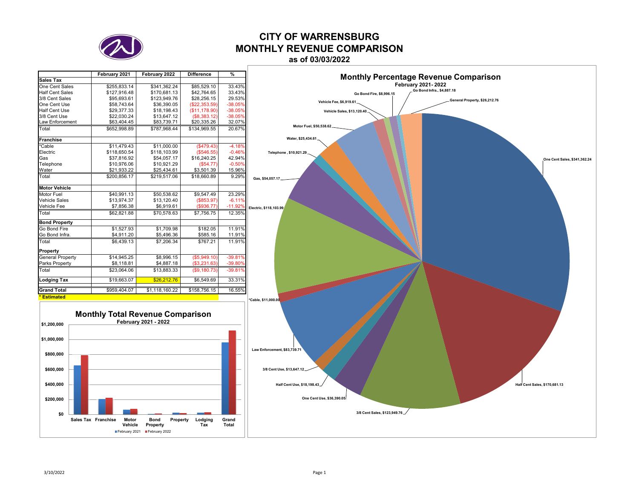

# **CITY OF WARRENSBURGMONTHLY REVENUE COMPARISON**

**as of 03/03/2022**

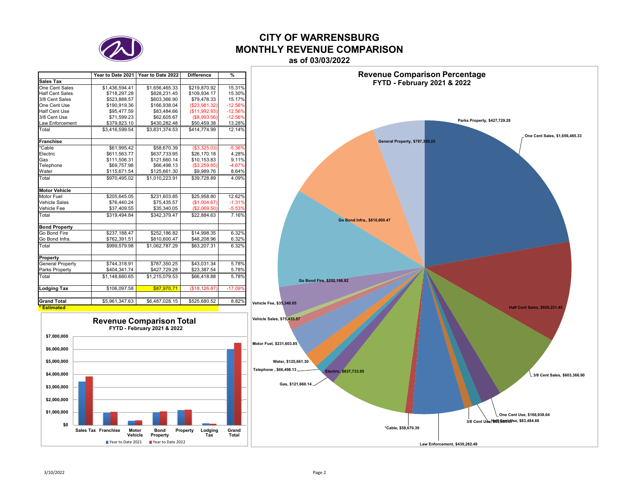

## **CITY OF WARRENSBURGMONTHLY REVENUE COMPARISONas of 03/03/2022**

|                        | Year to Date 2021 | Year to Date 2022 | <b>Difference</b> | %         |
|------------------------|-------------------|-------------------|-------------------|-----------|
| Sales Tax              |                   |                   |                   |           |
| One Cent Sales         | \$1,436,594.41    | \$1,656,465.33    | \$219.870.92      | 15.31%    |
| <b>Half Cent Sales</b> | \$718,297.28      | \$828,231.45      | \$109,934.17      | 15.30%    |
| 3/8 Cent Sales         | \$523.888.57      | \$603.366.90      | \$79.478.33       | 15.17%    |
| One Cent Use           | \$190,919.36      | \$166,938.04      | (\$23,981.32)     | $-12.56%$ |
| Half Cent Use          | \$95,477.59       | \$83.484.66       | (\$11,992.93)     | $-12.56%$ |
| 3/8 Cent Use           | \$71,599.23       | \$62,605.67       | (\$8,993.56)      | $-12.56%$ |
| <b>Law Enforcement</b> | \$379,823.10      | \$430,282.48      | \$50,459.38       | 13.28%    |
| Total                  | \$3.416.599.54    | \$3.831.374.53    | \$414,774.99      | 12.14%    |
| <b>Franchise</b>       |                   |                   |                   |           |
| *Cable                 | \$61,995.42       | \$58,670.39       | (\$3,325.03)      | $-5.36%$  |
| Electric               | \$611,563.77      | \$637,733.95      | \$26,170.18       | 4.28%     |
| Gas                    | \$111,506.31      | \$121,660.14      | \$10,153.83       | 9.11%     |
| Telephone              | \$69,757.98       | \$66,498.13       | (\$3,259.85)      | $-4.67%$  |
| Water                  | \$115,671.54      | \$125,661.30      | \$9,989.76        | 8.64%     |
| Total                  | \$970.495.02      | \$1,010,223.91    | \$39.728.89       | 4.09%     |
| <b>Motor Vehicle</b>   |                   |                   |                   |           |
| Motor Fuel             | \$205,645.05      | \$231,603.85      | \$25,958.80       | 12.62%    |
| <b>Vehicle Sales</b>   | \$76,440.24       | \$75.435.57       | (\$1,004.67)      | $-1.31%$  |
| Vehicle Fee            | \$37.409.55       | \$35,340.05       | (S2.069.50)       | $-5.53%$  |
| Total                  | \$319.494.84      | \$342.379.47      | \$22.884.63       | 7.16%     |
| <b>Bond Property</b>   |                   |                   |                   |           |
| Go Bond Fire           | \$237,188.47      | \$252,186.82      | \$14,998.35       | 6.32%     |
| Go Bond Infra.         | \$762,391.51      | \$810,600.47      | \$48,208.96       | 6.32%     |
| Total                  | \$999,579.98      | \$1,062,787.29    | \$63,207.31       | 6.32%     |
| Property               |                   |                   |                   |           |
| General Property       | \$744,318.91      | \$787,350.25      | \$43,031.34       | 5.78%     |
| Parks Property         | \$404,341.74      | \$427,729.28      | \$23,387.54       | 5.78%     |
| Total                  | \$1,148,660.65    | \$1,215,079.53    | \$66,418.88       | 5.78%     |
| <b>Lodging Tax</b>     | \$106,097.58      | \$87,970.71       | (\$18, 126.87)    | $-17.09%$ |
| <b>Grand Total</b>     | \$5,961,347.63    | \$6,487,028.15    | \$525,680.52      | 8.82%     |
| <b>Estimated</b>       |                   |                   |                   |           |



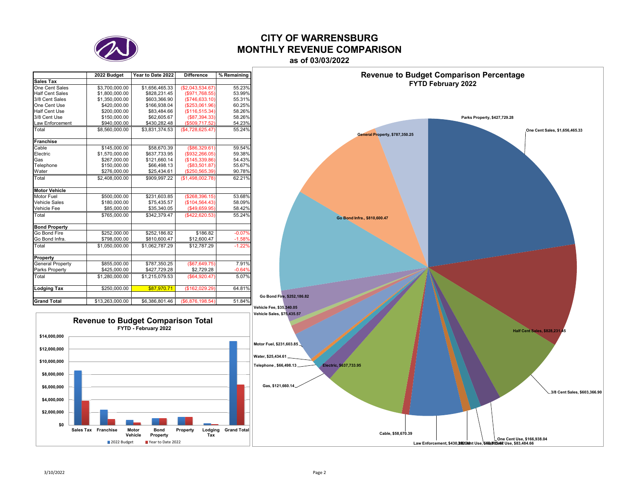

## **CITY OF WARRENSBURGMONTHLY REVENUE COMPARISONas of 03/03/2022**

|                              | 2022 Budget     | Year to Date 2022 | <b>Difference</b> | % Remaining |
|------------------------------|-----------------|-------------------|-------------------|-------------|
| <b>Sales Tax</b>             |                 |                   |                   |             |
| One Cent Sales               | \$3,700,000.00  | \$1,656,465.33    | (\$2,043,534.67)  | 55.23%      |
| <b>Half Cent Sales</b>       | \$1,800,000.00  | \$828,231.45      | $($ \$971,768.55) | 53.99%      |
| 3/8 Cent Sales               | \$1,350,000.00  | \$603,366.90      | (\$746, 633.10)   | 55.31%      |
| One Cent Use                 | \$420,000.00    | \$166,938.04      | (\$253,061.96)    | 60.25%      |
| <b>Half Cent Use</b>         | \$200,000.00    | \$83.484.66       | (\$116,515.34)    | 58.26%      |
| 3/8 Cent Use                 | \$150,000.00    | \$62,605.67       | (\$87,394.33)     | 58.26%      |
| Law Enforcement              | \$940,000.00    | \$430,282.48      | (\$509,717.52)    | 54.23%      |
| $\overline{\mathsf{T}}$ otal | \$8,560,000,00  | \$3.831.374.53    | (\$4,728,625.47)  | 55.24%      |
| Franchise                    |                 |                   |                   |             |
| Cable                        | \$145,000.00    | \$58,670.39       | (\$86,329.61)     | 59.54%      |
| Electric                     | \$1,570,000.00  | \$637.733.95      | $($ \$932,266.05) | 59.38%      |
| Gas                          | \$267,000.00    | \$121.660.14      | (\$145,339.86)    | 54.43%      |
| Telephone                    | \$150,000.00    | \$66,498.13       | (\$83,501.87)     | 55.67%      |
| Water                        | \$276,000.00    | \$25,434.61       | (\$250,565.39)    | 90.78%      |
| Total                        | \$2,408,000.00  | \$909.997.22      | (\$1,498,002.78)  | 62.21%      |
| <b>Motor Vehicle</b>         |                 |                   |                   |             |
| Motor Fuel                   | \$500,000.00    | \$231,603.85      | (\$268,396.15)    | 53.68%      |
| <b>Vehicle Sales</b>         | \$180,000.00    | \$75,435.57       | (\$104,564.43)    | 58.09%      |
| Vehicle Fee                  | \$85,000.00     | \$35,340.05       | (\$49,659.95)     | 58.42%      |
| Total                        | \$765,000.00    | \$342.379.47      | $($ \$422,620.53) | 55.24%      |
| <b>Bond Property</b>         |                 |                   |                   |             |
| Go Bond Fire                 | \$252,000.00    | \$252,186.82      | \$186.82          | $-0.07%$    |
| Go Bond Infra.               | \$798,000.00    | \$810,600.47      | \$12,600.47       | $-1.58%$    |
| Total                        | \$1.050.000.00  | \$1.062.787.29    | \$12.787.29       | $-1.22%$    |
| Property                     |                 |                   |                   |             |
| General Property             | \$855,000.00    | \$787,350.25      | (\$67,649.75)     | 7.91%       |
| Parks Property               | \$425,000.00    | \$427,729.28      | \$2,729.28        | $-0.64%$    |
| Total                        | \$1,280,000.00  | \$1,215,079.53    | (\$64,920.47)     | 5.07%       |
| Lodging Tax                  | \$250,000.00    | \$87,970.71       | (\$162,029.29)    | 64.81%      |
|                              |                 |                   |                   |             |
| <b>Grand Total</b>           | \$13,263,000.00 | \$6,386,801.46    | (\$6,876,198.54)  | 51.84%      |

**Vehicle**

2022 Budget

**Property**

**B** Year to Date 2022





Law Enforcement, \$430,2820kmt Use, \$609,606. Use, \$83,484.66

**\$0\$2,000,000 \$4,000,000 \$6,000,000 \$8,000,000 \$10,000,000 \$12,000,000 \$14,000,000**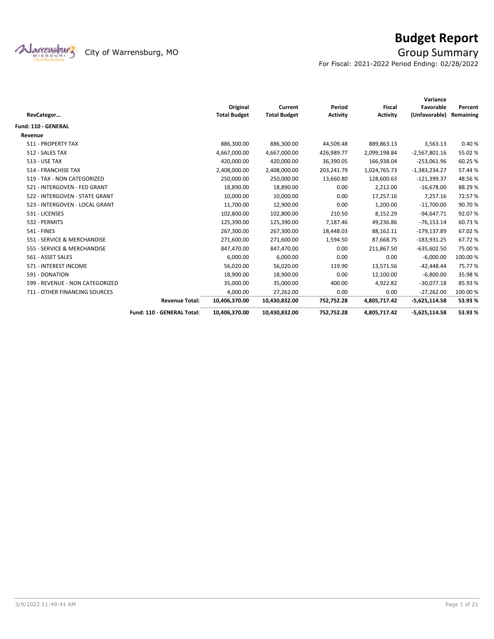

# **Budget Report**

For Fiscal: 2021-2022 Period Ending: 02/28/2022

|                                 |                            |                     |                     |                 |                 | Variance        |           |
|---------------------------------|----------------------------|---------------------|---------------------|-----------------|-----------------|-----------------|-----------|
|                                 |                            | Original            | Current             | Period          | <b>Fiscal</b>   | Favorable       | Percent   |
| RevCategor                      |                            | <b>Total Budget</b> | <b>Total Budget</b> | <b>Activity</b> | <b>Activity</b> | (Unfavorable)   | Remaining |
| <b>Fund: 110 - GENERAL</b>      |                            |                     |                     |                 |                 |                 |           |
| Revenue                         |                            |                     |                     |                 |                 |                 |           |
| 511 - PROPERTY TAX              |                            | 886,300.00          | 886,300.00          | 44,509.48       | 889,863.13      | 3,563.13        | 0.40%     |
| 512 - SALES TAX                 |                            | 4,667,000.00        | 4,667,000.00        | 426,989.77      | 2,099,198.84    | $-2,567,801.16$ | 55.02 %   |
| <b>513 - USE TAX</b>            |                            | 420,000.00          | 420,000.00          | 36,390.05       | 166,938.04      | $-253,061.96$   | 60.25%    |
| 514 - FRANCHISE TAX             |                            | 2,408,000.00        | 2,408,000.00        | 203,241.79      | 1,024,765.73    | $-1,383,234.27$ | 57.44 %   |
| 519 - TAX - NON CATEGORIZED     |                            | 250,000.00          | 250,000.00          | 13,660.80       | 128,600.63      | $-121,399.37$   | 48.56%    |
| 521 - INTERGOVEN - FED GRANT    |                            | 18,890.00           | 18,890.00           | 0.00            | 2,212.00        | $-16,678.00$    | 88.29%    |
| 522 - INTERGOVEN - STATE GRANT  |                            | 10,000.00           | 10,000.00           | 0.00            | 17,257.16       | 7,257.16        | 72.57%    |
| 523 - INTERGOVEN - LOCAL GRANT  |                            | 11,700.00           | 12,900.00           | 0.00            | 1,200.00        | $-11,700.00$    | 90.70%    |
| 531 - LICENSES                  |                            | 102,800.00          | 102,800.00          | 210.50          | 8,152.29        | $-94,647.71$    | 92.07%    |
| 532 - PERMITS                   |                            | 125,390.00          | 125,390.00          | 7,187.46        | 49,236.86       | $-76,153.14$    | 60.73%    |
| <b>541 - FINES</b>              |                            | 267,300.00          | 267,300.00          | 18,448.03       | 88,162.11       | $-179, 137.89$  | 67.02%    |
| 551 - SERVICE & MERCHANDISE     |                            | 271,600.00          | 271,600.00          | 1,594.50        | 87,668.75       | $-183,931.25$   | 67.72 %   |
| 555 - SERVICE & MERCHANDISE     |                            | 847,470.00          | 847,470.00          | 0.00            | 211,867.50      | $-635,602.50$   | 75.00 %   |
| 561 - ASSET SALES               |                            | 6,000.00            | 6,000.00            | 0.00            | 0.00            | $-6,000.00$     | 100.00%   |
| 571 - INTEREST INCOME           |                            | 56,020.00           | 56,020.00           | 119.90          | 13,571.56       | $-42,448.44$    | 75.77 %   |
| 591 - DONATION                  |                            | 18,900.00           | 18,900.00           | 0.00            | 12,100.00       | $-6,800.00$     | 35.98%    |
| 599 - REVENUE - NON CATEGORIZED |                            | 35,000.00           | 35,000.00           | 400.00          | 4,922.82        | $-30,077.18$    | 85.93%    |
| 711 - OTHER FINANCING SOURCES   |                            | 4,000.00            | 27,262.00           | 0.00            | 0.00            | $-27,262.00$    | 100.00%   |
|                                 | <b>Revenue Total:</b>      | 10,406,370.00       | 10,430,832.00       | 752,752.28      | 4,805,717.42    | $-5,625,114.58$ | 53.93%    |
|                                 | Fund: 110 - GENERAL Total: | 10,406,370.00       | 10,430,832.00       | 752,752.28      | 4,805,717.42    | $-5,625,114.58$ | 53.93%    |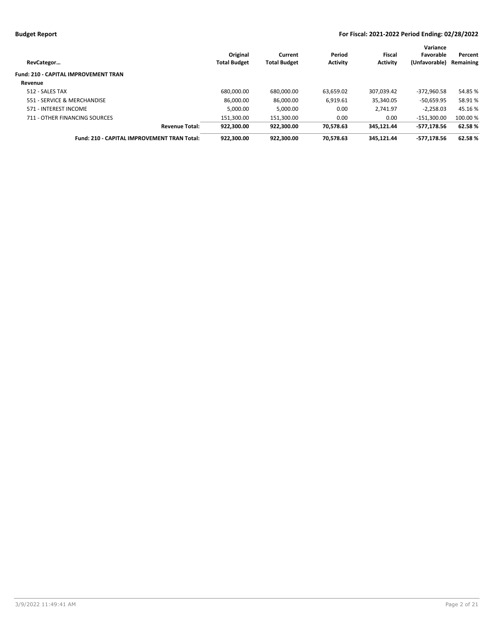| RevCategor                                  | Original<br><b>Total Budget</b> | Current<br><b>Total Budget</b> | Period<br><b>Activity</b> | Fiscal<br><b>Activity</b> | Variance<br>Favorable<br>(Unfavorable) | Percent<br>Remaining |
|---------------------------------------------|---------------------------------|--------------------------------|---------------------------|---------------------------|----------------------------------------|----------------------|
| <b>Fund: 210 - CAPITAL IMPROVEMENT TRAN</b> |                                 |                                |                           |                           |                                        |                      |
| Revenue                                     |                                 |                                |                           |                           |                                        |                      |
| 512 - SALES TAX                             | 680.000.00                      | 680,000.00                     | 63.659.02                 | 307.039.42                | $-372.960.58$                          | 54.85 %              |
| 551 - SERVICE & MERCHANDISE                 | 86.000.00                       | 86,000.00                      | 6,919.61                  | 35.340.05                 | $-50.659.95$                           | 58.91%               |
| 571 - INTEREST INCOME                       | 5.000.00                        | 5,000.00                       | 0.00                      | 2.741.97                  | $-2.258.03$                            | 45.16 %              |
| 711 - OTHER FINANCING SOURCES               | 151.300.00                      | 151.300.00                     | 0.00                      | 0.00                      | $-151.300.00$                          | 100.00 %             |
| <b>Revenue Total:</b>                       | 922.300.00                      | 922,300.00                     | 70.578.63                 | 345.121.44                | -577.178.56                            | 62.58%               |
| Fund: 210 - CAPITAL IMPROVEMENT TRAN Total: | 922.300.00                      | 922.300.00                     | 70.578.63                 | 345.121.44                | -577.178.56                            | 62.58%               |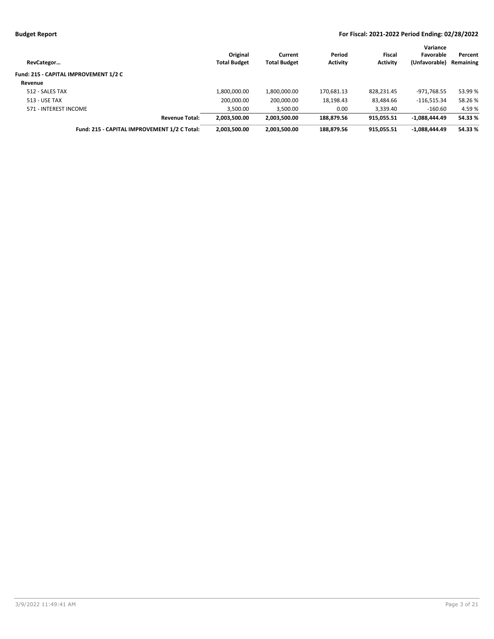| RevCategor                                   | Original<br><b>Total Budget</b> | Current<br><b>Total Budget</b> | Period<br><b>Activity</b> | Fiscal<br><b>Activity</b> | Variance<br>Favorable<br>(Unfavorable) | Percent<br>Remaining |
|----------------------------------------------|---------------------------------|--------------------------------|---------------------------|---------------------------|----------------------------------------|----------------------|
| Fund: 215 - CAPITAL IMPROVEMENT 1/2 C        |                                 |                                |                           |                           |                                        |                      |
| Revenue                                      |                                 |                                |                           |                           |                                        |                      |
| 512 - SALES TAX                              | 1,800,000.00                    | 1,800,000.00                   | 170.681.13                | 828.231.45                | -971.768.55                            | 53.99 %              |
| 513 - USE TAX                                | 200,000.00                      | 200,000.00                     | 18,198.43                 | 83,484.66                 | $-116,515.34$                          | 58.26%               |
| 571 - INTEREST INCOME                        | 3,500.00                        | 3,500.00                       | 0.00                      | 3,339.40                  | $-160.60$                              | 4.59 %               |
| <b>Revenue Total:</b>                        | 2,003,500.00                    | 2.003.500.00                   | 188.879.56                | 915.055.51                | $-1.088.444.49$                        | 54.33 %              |
| Fund: 215 - CAPITAL IMPROVEMENT 1/2 C Total: | 2,003,500.00                    | 2,003,500.00                   | 188,879.56                | 915.055.51                | $-1,088,444.49$                        | 54.33 %              |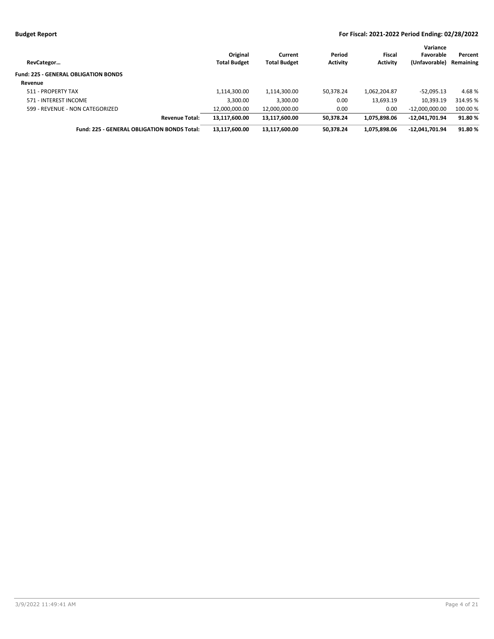| RevCategor                                  | Original<br><b>Total Budget</b> | Current<br><b>Total Budget</b> | Period<br><b>Activity</b> | Fiscal<br><b>Activity</b> | Variance<br>Favorable<br>(Unfavorable) | Percent<br>Remaining |
|---------------------------------------------|---------------------------------|--------------------------------|---------------------------|---------------------------|----------------------------------------|----------------------|
| <b>Fund: 225 - GENERAL OBLIGATION BONDS</b> |                                 |                                |                           |                           |                                        |                      |
| Revenue                                     |                                 |                                |                           |                           |                                        |                      |
| 511 - PROPERTY TAX                          | 1,114,300.00                    | 1,114,300.00                   | 50,378.24                 | 1,062,204.87              | $-52,095.13$                           | 4.68%                |
| 571 - INTEREST INCOME                       | 3,300.00                        | 3,300.00                       | 0.00                      | 13,693.19                 | 10,393.19                              | 314.95 %             |
| 599 - REVENUE - NON CATEGORIZED             | 12,000,000.00                   | 12,000,000.00                  | 0.00                      | 0.00                      | $-12,000,000.00$                       | 100.00 %             |
| <b>Revenue Total:</b>                       | 13,117,600.00                   | 13,117,600.00                  | 50.378.24                 | 1.075.898.06              | $-12,041,701.94$                       | 91.80%               |
| Fund: 225 - GENERAL OBLIGATION BONDS Total: | 13,117,600.00                   | 13,117,600.00                  | 50,378.24                 | 1.075.898.06              | $-12,041,701.94$                       | 91.80%               |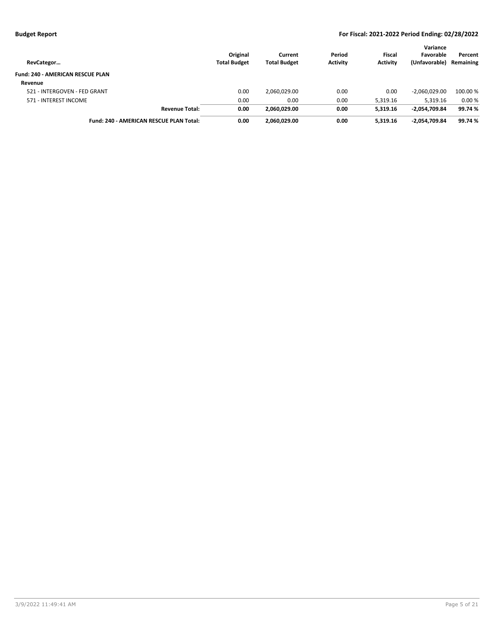| RevCategor                                     | Original<br><b>Total Budget</b> | Current<br><b>Total Budget</b> | Period<br><b>Activity</b> | Fiscal<br><b>Activity</b> | Variance<br>Favorable<br>(Unfavorable) | Percent<br>Remaining |
|------------------------------------------------|---------------------------------|--------------------------------|---------------------------|---------------------------|----------------------------------------|----------------------|
| <b>Fund: 240 - AMERICAN RESCUE PLAN</b>        |                                 |                                |                           |                           |                                        |                      |
| Revenue                                        |                                 |                                |                           |                           |                                        |                      |
| 521 - INTERGOVEN - FED GRANT                   | 0.00                            | 2,060,029.00                   | 0.00                      | 0.00                      | $-2.060.029.00$                        | 100.00 %             |
| 571 - INTEREST INCOME                          | 0.00                            | 0.00                           | 0.00                      | 5,319.16                  | 5,319.16                               | 0.00%                |
| <b>Revenue Total:</b>                          | 0.00                            | 2.060.029.00                   | 0.00                      | 5.319.16                  | $-2,054,709.84$                        | 99.74 %              |
| <b>Fund: 240 - AMERICAN RESCUE PLAN Total:</b> | 0.00                            | 2.060.029.00                   | 0.00                      | 5.319.16                  | -2.054.709.84                          | 99.74 %              |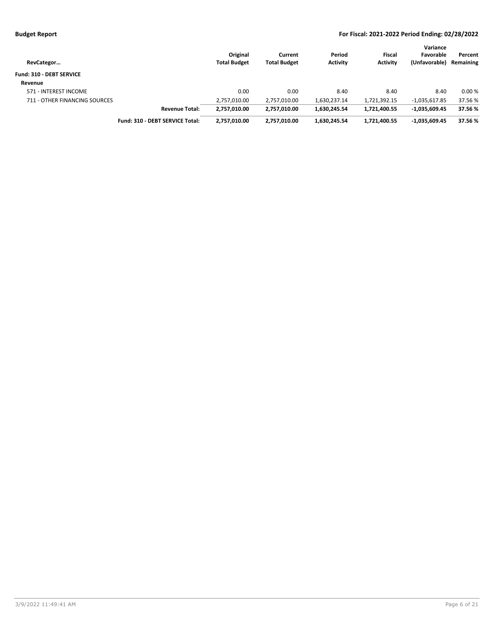| RevCategor                      |                                 | Original<br><b>Total Budget</b> | Current<br><b>Total Budget</b> | Period<br><b>Activity</b> | <b>Fiscal</b><br><b>Activity</b> | Variance<br>Favorable<br>(Unfavorable) | Percent<br>Remaining |
|---------------------------------|---------------------------------|---------------------------------|--------------------------------|---------------------------|----------------------------------|----------------------------------------|----------------------|
| <b>Fund: 310 - DEBT SERVICE</b> |                                 |                                 |                                |                           |                                  |                                        |                      |
| Revenue                         |                                 |                                 |                                |                           |                                  |                                        |                      |
| 571 - INTEREST INCOME           |                                 | 0.00                            | 0.00                           | 8.40                      | 8.40                             | 8.40                                   | 0.00%                |
| 711 - OTHER FINANCING SOURCES   |                                 | 2,757,010.00                    | 2,757,010.00                   | 1,630,237.14              | 1,721,392.15                     | $-1,035,617.85$                        | 37.56 %              |
|                                 | <b>Revenue Total:</b>           | 2,757,010.00                    | 2,757,010.00                   | 1.630.245.54              | 1,721,400.55                     | $-1.035.609.45$                        | 37.56%               |
|                                 | Fund: 310 - DEBT SERVICE Total: | 2,757,010.00                    | 2,757,010.00                   | 1.630.245.54              | 1,721,400.55                     | -1,035,609.45                          | 37.56 %              |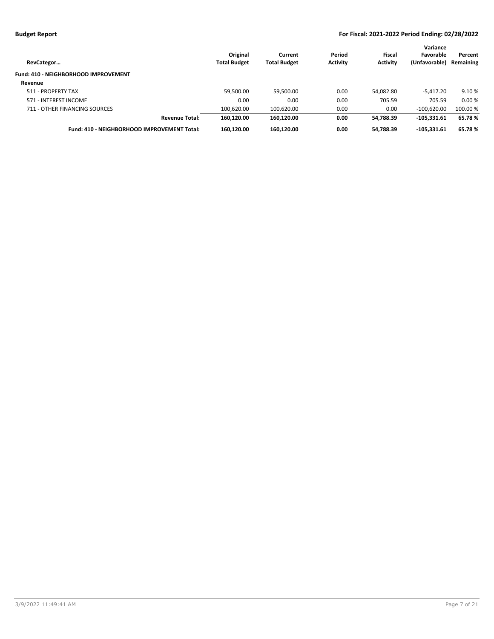| RevCategor                                  | Original<br><b>Total Budget</b> | Current<br><b>Total Budget</b> | Period<br><b>Activity</b> | Fiscal<br><b>Activity</b> | Variance<br>Favorable<br>(Unfavorable) | Percent<br>Remaining |
|---------------------------------------------|---------------------------------|--------------------------------|---------------------------|---------------------------|----------------------------------------|----------------------|
| Fund: 410 - NEIGHBORHOOD IMPROVEMENT        |                                 |                                |                           |                           |                                        |                      |
| Revenue                                     |                                 |                                |                           |                           |                                        |                      |
| 511 - PROPERTY TAX                          | 59,500.00                       | 59,500.00                      | 0.00                      | 54,082.80                 | $-5,417.20$                            | 9.10 %               |
| 571 - INTEREST INCOME                       | 0.00                            | 0.00                           | 0.00                      | 705.59                    | 705.59                                 | 0.00%                |
| 711 - OTHER FINANCING SOURCES               | 100,620.00                      | 100,620.00                     | 0.00                      | 0.00                      | $-100,620.00$                          | 100.00 %             |
| <b>Revenue Total:</b>                       | 160.120.00                      | 160.120.00                     | 0.00                      | 54,788.39                 | $-105.331.61$                          | 65.78%               |
| Fund: 410 - NEIGHBORHOOD IMPROVEMENT Total: | 160,120.00                      | 160,120.00                     | 0.00                      | 54,788.39                 | $-105,331.61$                          | 65.78%               |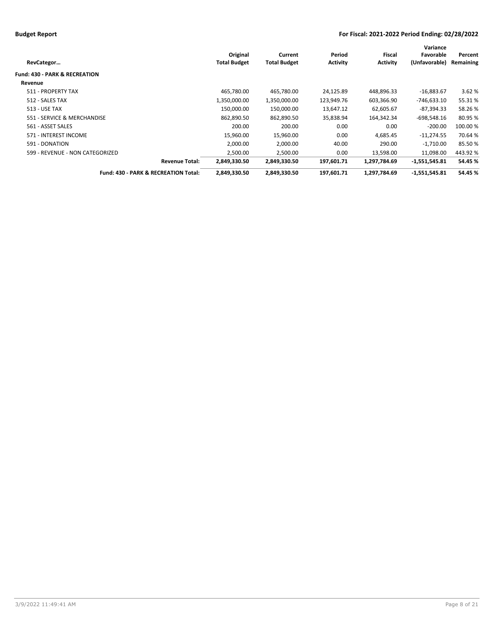|                                      |                     |                     |                 |                 | Variance      |           |
|--------------------------------------|---------------------|---------------------|-----------------|-----------------|---------------|-----------|
|                                      | Original            | Current             | Period          | Fiscal          | Favorable     | Percent   |
| RevCategor                           | <b>Total Budget</b> | <b>Total Budget</b> | <b>Activity</b> | <b>Activity</b> | (Unfavorable) | Remaining |
| Fund: 430 - PARK & RECREATION        |                     |                     |                 |                 |               |           |
| Revenue                              |                     |                     |                 |                 |               |           |
| 511 - PROPERTY TAX                   | 465,780.00          | 465,780.00          | 24,125.89       | 448,896.33      | $-16,883.67$  | 3.62%     |
| 512 - SALES TAX                      | 1,350,000.00        | 1,350,000.00        | 123,949.76      | 603,366.90      | -746,633.10   | 55.31 %   |
| <b>513 - USE TAX</b>                 | 150,000.00          | 150,000.00          | 13,647.12       | 62,605.67       | $-87,394.33$  | 58.26%    |
| 551 - SERVICE & MERCHANDISE          | 862,890.50          | 862,890.50          | 35,838.94       | 164,342.34      | $-698,548.16$ | 80.95%    |
| 561 - ASSET SALES                    | 200.00              | 200.00              | 0.00            | 0.00            | $-200.00$     | 100.00 %  |
| 571 - INTEREST INCOME                | 15,960.00           | 15,960.00           | 0.00            | 4,685.45        | $-11,274.55$  | 70.64 %   |
| 591 - DONATION                       | 2,000.00            | 2,000.00            | 40.00           | 290.00          | $-1,710.00$   | 85.50%    |
| 599 - REVENUE - NON CATEGORIZED      | 2,500.00            | 2,500.00            | 0.00            | 13,598.00       | 11,098.00     | 443.92%   |
| <b>Revenue Total:</b>                | 2,849,330.50        | 2,849,330.50        | 197,601.71      | 1,297,784.69    | -1,551,545.81 | 54.45 %   |
| Fund: 430 - PARK & RECREATION Total: | 2,849,330.50        | 2,849,330.50        | 197,601.71      | 1,297,784.69    | -1,551,545.81 | 54.45 %   |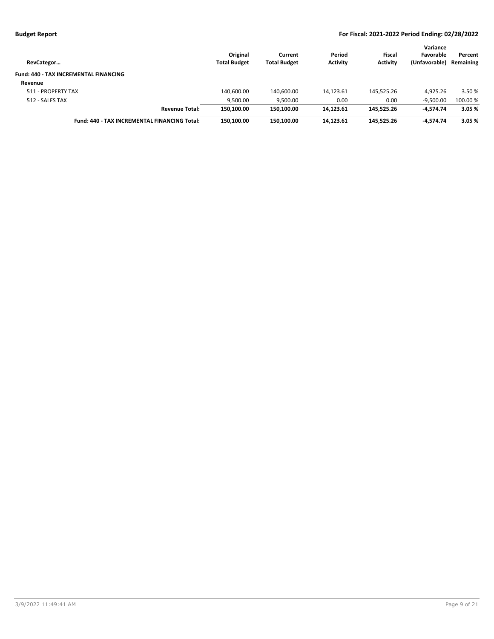| RevCategor                                   | Original<br><b>Total Budget</b> | Current<br><b>Total Budget</b> | Period<br><b>Activity</b> | Fiscal<br><b>Activity</b> | Variance<br>Favorable<br>(Unfavorable) | Percent<br>Remaining |
|----------------------------------------------|---------------------------------|--------------------------------|---------------------------|---------------------------|----------------------------------------|----------------------|
| <b>Fund: 440 - TAX INCREMENTAL FINANCING</b> |                                 |                                |                           |                           |                                        |                      |
| Revenue                                      |                                 |                                |                           |                           |                                        |                      |
| 511 - PROPERTY TAX                           | 140.600.00                      | 140,600.00                     | 14,123.61                 | 145.525.26                | 4.925.26                               | 3.50 %               |
| 512 - SALES TAX                              | 9,500.00                        | 9,500.00                       | 0.00                      | 0.00                      | $-9,500.00$                            | 100.00 %             |
| <b>Revenue Total:</b>                        | 150.100.00                      | 150.100.00                     | 14,123.61                 | 145.525.26                | $-4.574.74$                            | 3.05%                |
| Fund: 440 - TAX INCREMENTAL FINANCING Total: | 150.100.00                      | 150.100.00                     | 14.123.61                 | 145.525.26                | -4.574.74                              | 3.05 %               |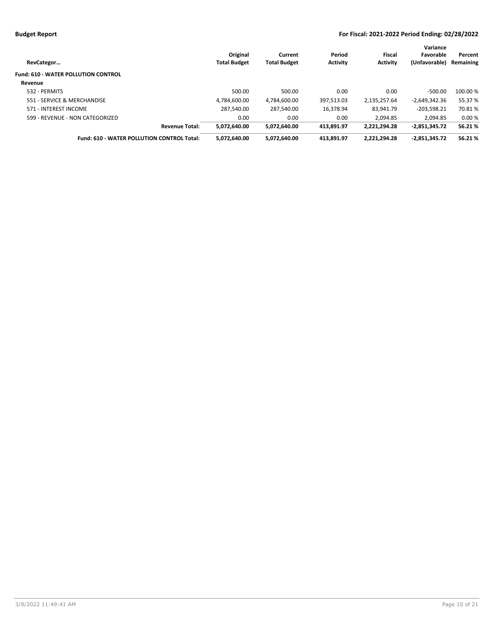| RevCategor                                        | Original<br><b>Total Budget</b> | Current<br><b>Total Budget</b> | Period<br><b>Activity</b> | Fiscal<br><b>Activity</b> | Variance<br>Favorable<br>(Unfavorable) | Percent<br>Remaining |
|---------------------------------------------------|---------------------------------|--------------------------------|---------------------------|---------------------------|----------------------------------------|----------------------|
| <b>Fund: 610 - WATER POLLUTION CONTROL</b>        |                                 |                                |                           |                           |                                        |                      |
| Revenue                                           |                                 |                                |                           |                           |                                        |                      |
| 532 - PERMITS                                     | 500.00                          | 500.00                         | 0.00                      | 0.00                      | $-500.00$                              | 100.00 %             |
| 551 - SERVICE & MERCHANDISE                       | 4.784.600.00                    | 4.784.600.00                   | 397.513.03                | 2,135,257.64              | $-2.649.342.36$                        | 55.37 %              |
| 571 - INTEREST INCOME                             | 287.540.00                      | 287.540.00                     | 16.378.94                 | 83.941.79                 | $-203.598.21$                          | 70.81%               |
| 599 - REVENUE - NON CATEGORIZED                   | 0.00                            | 0.00                           | 0.00                      | 2.094.85                  | 2.094.85                               | 0.00%                |
| <b>Revenue Total:</b>                             | 5.072.640.00                    | 5,072,640.00                   | 413,891.97                | 2,221,294.28              | $-2.851.345.72$                        | 56.21%               |
| <b>Fund: 610 - WATER POLLUTION CONTROL Total:</b> | 5,072,640.00                    | 5,072,640.00                   | 413.891.97                | 2,221,294.28              | $-2,851,345.72$                        | 56.21%               |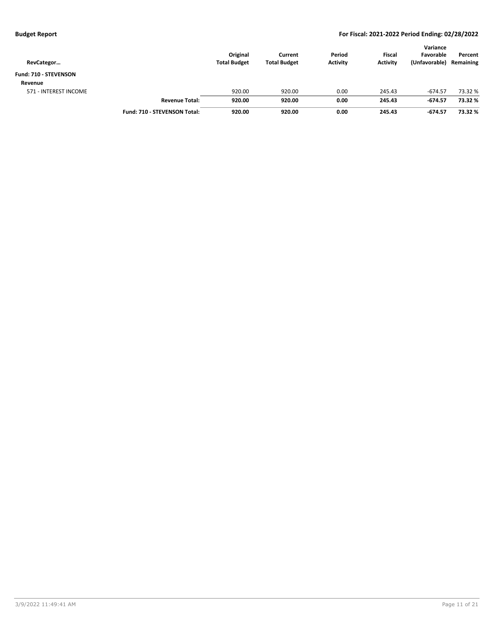| RevCategor            |                                     | Original<br><b>Total Budget</b> | Current<br><b>Total Budget</b> | Period<br><b>Activity</b> | <b>Fiscal</b><br><b>Activity</b> | Variance<br>Favorable<br>(Unfavorable) | Percent<br>Remaining |
|-----------------------|-------------------------------------|---------------------------------|--------------------------------|---------------------------|----------------------------------|----------------------------------------|----------------------|
| Fund: 710 - STEVENSON |                                     |                                 |                                |                           |                                  |                                        |                      |
| Revenue               |                                     |                                 |                                |                           |                                  |                                        |                      |
| 571 - INTEREST INCOME |                                     | 920.00                          | 920.00                         | 0.00                      | 245.43                           | $-674.57$                              | 73.32 %              |
|                       | <b>Revenue Total:</b>               | 920.00                          | 920.00                         | 0.00                      | 245.43                           | $-674.57$                              | 73.32 %              |
|                       | <b>Fund: 710 - STEVENSON Total:</b> | 920.00                          | 920.00                         | 0.00                      | 245.43                           | $-674.57$                              | 73.32 %              |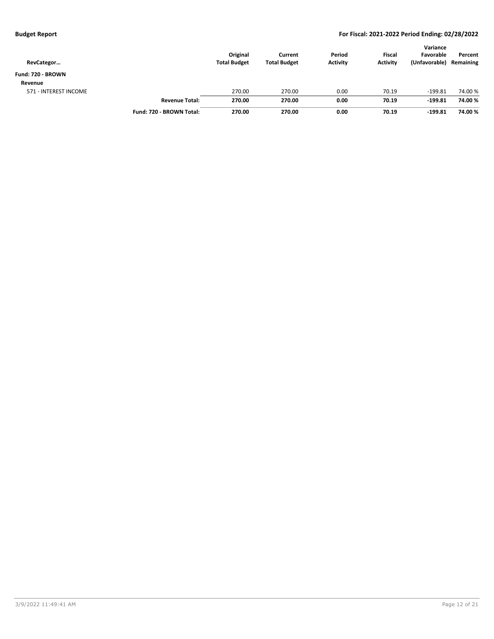| RevCategor            |                          | Original<br><b>Total Budget</b> | Current<br><b>Total Budget</b> | Period<br><b>Activity</b> | <b>Fiscal</b><br><b>Activity</b> | Variance<br>Favorable<br>(Unfavorable) | Percent<br>Remaining |
|-----------------------|--------------------------|---------------------------------|--------------------------------|---------------------------|----------------------------------|----------------------------------------|----------------------|
| Fund: 720 - BROWN     |                          |                                 |                                |                           |                                  |                                        |                      |
| Revenue               |                          |                                 |                                |                           |                                  |                                        |                      |
| 571 - INTEREST INCOME |                          | 270.00                          | 270.00                         | 0.00                      | 70.19                            | $-199.81$                              | 74.00 %              |
|                       | <b>Revenue Total:</b>    | 270.00                          | 270.00                         | 0.00                      | 70.19                            | $-199.81$                              | 74.00%               |
|                       | Fund: 720 - BROWN Total: | 270.00                          | 270.00                         | 0.00                      | 70.19                            | $-199.81$                              | 74.00%               |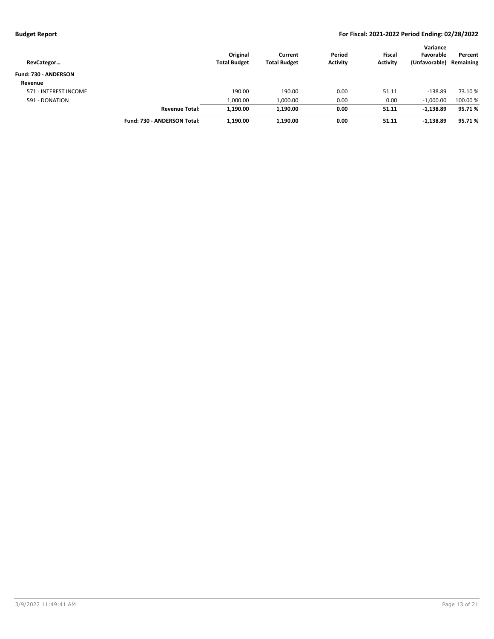| RevCategor            |                             | Original<br><b>Total Budget</b> | Current<br><b>Total Budget</b> | Period<br><b>Activity</b> | Fiscal<br><b>Activity</b> | Variance<br>Favorable<br>(Unfavorable) | Percent<br>Remaining |
|-----------------------|-----------------------------|---------------------------------|--------------------------------|---------------------------|---------------------------|----------------------------------------|----------------------|
| Fund: 730 - ANDERSON  |                             |                                 |                                |                           |                           |                                        |                      |
| Revenue               |                             |                                 |                                |                           |                           |                                        |                      |
| 571 - INTEREST INCOME |                             | 190.00                          | 190.00                         | 0.00                      | 51.11                     | $-138.89$                              | 73.10 %              |
| 591 - DONATION        |                             | 1,000.00                        | 1,000.00                       | 0.00                      | 0.00                      | $-1,000.00$                            | 100.00%              |
|                       | <b>Revenue Total:</b>       | 1,190.00                        | 1,190.00                       | 0.00                      | 51.11                     | $-1,138.89$                            | 95.71%               |
|                       | Fund: 730 - ANDERSON Total: | 1,190.00                        | 1,190.00                       | 0.00                      | 51.11                     | $-1,138.89$                            | 95.71%               |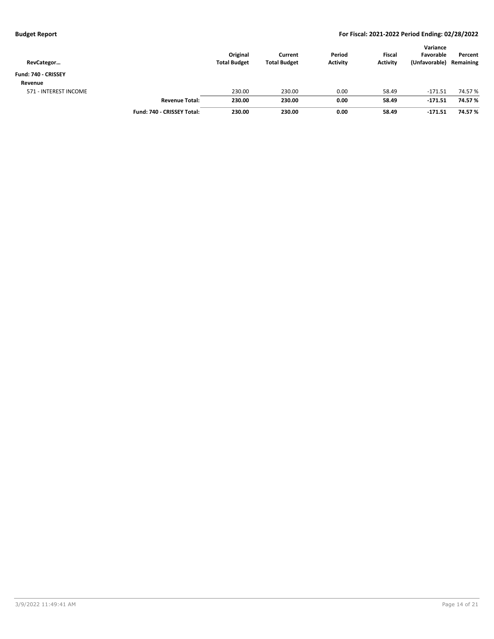| RevCategor            |                            | Original<br><b>Total Budget</b> | Current<br><b>Total Budget</b> | Period<br><b>Activity</b> | <b>Fiscal</b><br><b>Activity</b> | Variance<br>Favorable<br>(Unfavorable) | Percent<br>Remaining |
|-----------------------|----------------------------|---------------------------------|--------------------------------|---------------------------|----------------------------------|----------------------------------------|----------------------|
| Fund: 740 - CRISSEY   |                            |                                 |                                |                           |                                  |                                        |                      |
| Revenue               |                            |                                 |                                |                           |                                  |                                        |                      |
| 571 - INTEREST INCOME |                            | 230.00                          | 230.00                         | 0.00                      | 58.49                            | $-171.51$                              | 74.57 %              |
|                       | <b>Revenue Total:</b>      | 230.00                          | 230.00                         | 0.00                      | 58.49                            | $-171.51$                              | 74.57 %              |
|                       | Fund: 740 - CRISSEY Total: | 230.00                          | 230.00                         | 0.00                      | 58.49                            | $-171.51$                              | 74.57 %              |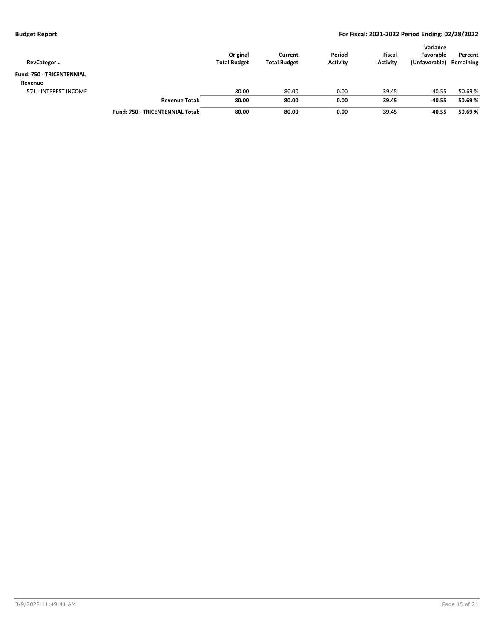| RevCategor                       |                                         | Original<br><b>Total Budget</b> | Current<br><b>Total Budget</b> | Period<br><b>Activity</b> | <b>Fiscal</b><br><b>Activity</b> | Variance<br>Favorable<br>(Unfavorable) | Percent<br>Remaining |
|----------------------------------|-----------------------------------------|---------------------------------|--------------------------------|---------------------------|----------------------------------|----------------------------------------|----------------------|
| <b>Fund: 750 - TRICENTENNIAL</b> |                                         |                                 |                                |                           |                                  |                                        |                      |
| Revenue                          |                                         |                                 |                                |                           |                                  |                                        |                      |
| 571 - INTEREST INCOME            |                                         | 80.00                           | 80.00                          | 0.00                      | 39.45                            | $-40.55$                               | 50.69 %              |
|                                  | <b>Revenue Total:</b>                   | 80.00                           | 80.00                          | 0.00                      | 39.45                            | $-40.55$                               | 50.69%               |
|                                  | <b>Fund: 750 - TRICENTENNIAL Total:</b> | 80.00                           | 80.00                          | 0.00                      | 39.45                            | $-40.55$                               | 50.69%               |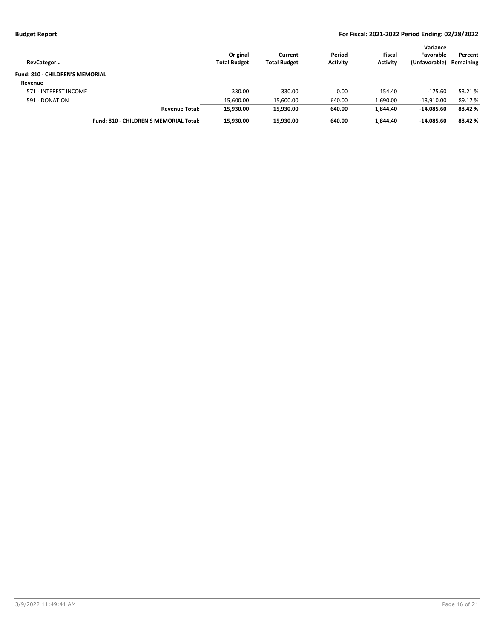| RevCategor                             |                                        | Original<br><b>Total Budget</b> | Current<br><b>Total Budget</b> | Period<br><b>Activity</b> | <b>Fiscal</b><br><b>Activity</b> | Variance<br>Favorable<br>(Unfavorable) | Percent<br>Remaining |
|----------------------------------------|----------------------------------------|---------------------------------|--------------------------------|---------------------------|----------------------------------|----------------------------------------|----------------------|
| <b>Fund: 810 - CHILDREN'S MEMORIAL</b> |                                        |                                 |                                |                           |                                  |                                        |                      |
| Revenue                                |                                        |                                 |                                |                           |                                  |                                        |                      |
| 571 - INTEREST INCOME                  |                                        | 330.00                          | 330.00                         | 0.00                      | 154.40                           | $-175.60$                              | 53.21 %              |
| 591 - DONATION                         |                                        | 15,600.00                       | 15,600.00                      | 640.00                    | 1,690.00                         | $-13.910.00$                           | 89.17 %              |
|                                        | <b>Revenue Total:</b>                  | 15,930.00                       | 15.930.00                      | 640.00                    | 1.844.40                         | -14.085.60                             | 88.42 %              |
|                                        | Fund: 810 - CHILDREN'S MEMORIAL Total: | 15.930.00                       | 15.930.00                      | 640.00                    | 1.844.40                         | -14.085.60                             | 88.42 %              |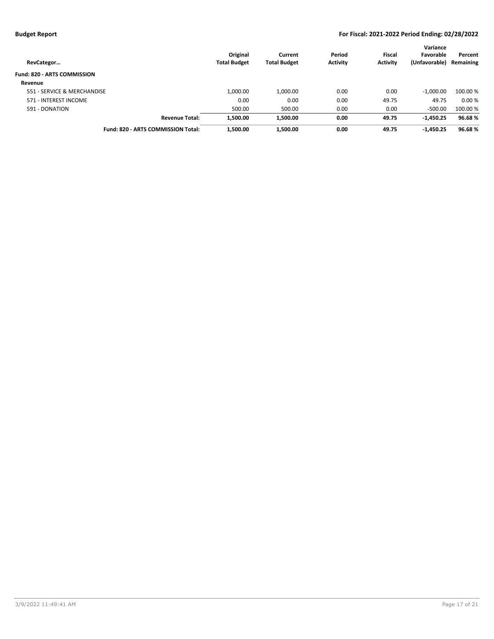| RevCategor                         | Original<br><b>Total Budget</b> | Current<br><b>Total Budget</b> | Period<br><b>Activity</b> | <b>Fiscal</b><br><b>Activity</b> | Variance<br>Favorable<br>(Unfavorable) | Percent<br>Remaining |
|------------------------------------|---------------------------------|--------------------------------|---------------------------|----------------------------------|----------------------------------------|----------------------|
| <b>Fund: 820 - ARTS COMMISSION</b> |                                 |                                |                           |                                  |                                        |                      |
| Revenue                            |                                 |                                |                           |                                  |                                        |                      |
| 551 - SERVICE & MERCHANDISE        | 1,000.00                        | 1,000.00                       | 0.00                      | 0.00                             | $-1.000.00$                            | 100.00 %             |
| 571 - INTEREST INCOME              | 0.00                            | 0.00                           | 0.00                      | 49.75                            | 49.75                                  | 0.00%                |
| 591 - DONATION                     | 500.00                          | 500.00                         | 0.00                      | 0.00                             | $-500.00$                              | 100.00%              |
| <b>Revenue Total:</b>              | 1,500.00                        | 1,500.00                       | 0.00                      | 49.75                            | $-1,450.25$                            | 96.68%               |
| Fund: 820 - ARTS COMMISSION Total: | 1,500.00                        | 1,500.00                       | 0.00                      | 49.75                            | $-1,450.25$                            | 96.68%               |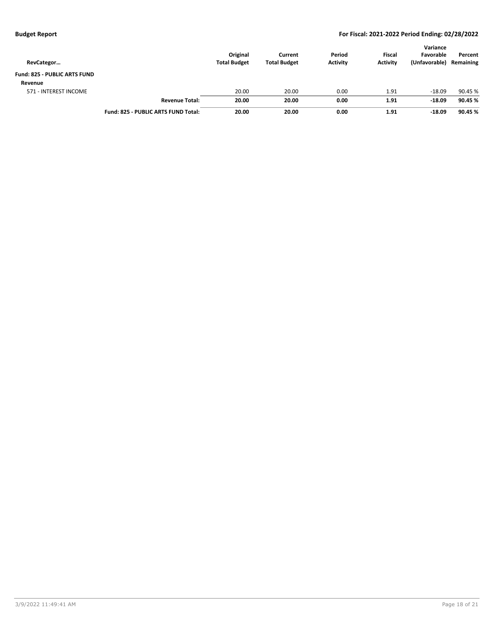| RevCategor                   |                                     | Original<br><b>Total Budget</b> | Current<br><b>Total Budget</b> | Period<br><b>Activity</b> | <b>Fiscal</b><br><b>Activity</b> | Variance<br>Favorable<br>(Unfavorable) | Percent<br>Remaining |
|------------------------------|-------------------------------------|---------------------------------|--------------------------------|---------------------------|----------------------------------|----------------------------------------|----------------------|
| Fund: 825 - PUBLIC ARTS FUND |                                     |                                 |                                |                           |                                  |                                        |                      |
| Revenue                      |                                     |                                 |                                |                           |                                  |                                        |                      |
| 571 - INTEREST INCOME        |                                     | 20.00                           | 20.00                          | 0.00                      | 1.91                             | $-18.09$                               | 90.45 %              |
|                              | <b>Revenue Total:</b>               | 20.00                           | 20.00                          | 0.00                      | 1.91                             | $-18.09$                               | 90.45 %              |
|                              | Fund: 825 - PUBLIC ARTS FUND Total: | 20.00                           | 20.00                          | 0.00                      | 1.91                             | $-18.09$                               | 90.45 %              |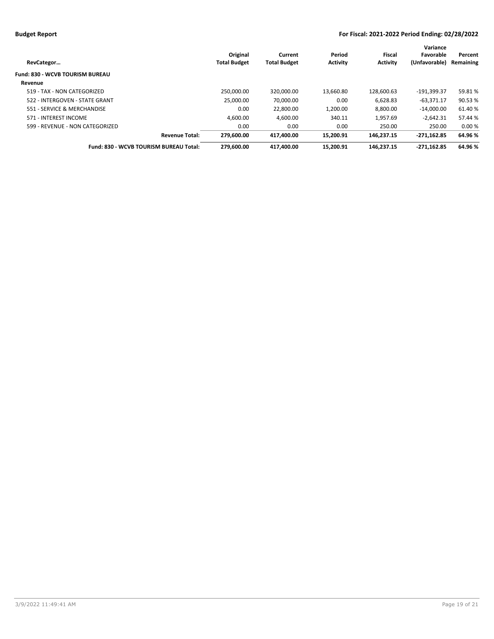|                                        |                     |                     |                 |                 | Variance      |           |
|----------------------------------------|---------------------|---------------------|-----------------|-----------------|---------------|-----------|
|                                        | Original            | Current             | Period          | Fiscal          | Favorable     | Percent   |
| RevCategor                             | <b>Total Budget</b> | <b>Total Budget</b> | <b>Activity</b> | <b>Activity</b> | (Unfavorable) | Remaining |
| Fund: 830 - WCVB TOURISM BUREAU        |                     |                     |                 |                 |               |           |
| Revenue                                |                     |                     |                 |                 |               |           |
| 519 - TAX - NON CATEGORIZED            | 250.000.00          | 320.000.00          | 13.660.80       | 128.600.63      | -191.399.37   | 59.81%    |
| 522 - INTERGOVEN - STATE GRANT         | 25.000.00           | 70.000.00           | 0.00            | 6.628.83        | $-63.371.17$  | 90.53 %   |
| 551 - SERVICE & MERCHANDISE            | 0.00                | 22.800.00           | 1.200.00        | 8.800.00        | $-14.000.00$  | 61.40%    |
| 571 - INTEREST INCOME                  | 4.600.00            | 4,600.00            | 340.11          | 1.957.69        | $-2,642.31$   | 57.44 %   |
| 599 - REVENUE - NON CATEGORIZED        | 0.00                | 0.00                | 0.00            | 250.00          | 250.00        | 0.00%     |
| <b>Revenue Total:</b>                  | 279.600.00          | 417.400.00          | 15.200.91       | 146.237.15      | $-271.162.85$ | 64.96 %   |
| Fund: 830 - WCVB TOURISM BUREAU Total: | 279.600.00          | 417.400.00          | 15.200.91       | 146.237.15      | $-271.162.85$ | 64.96 %   |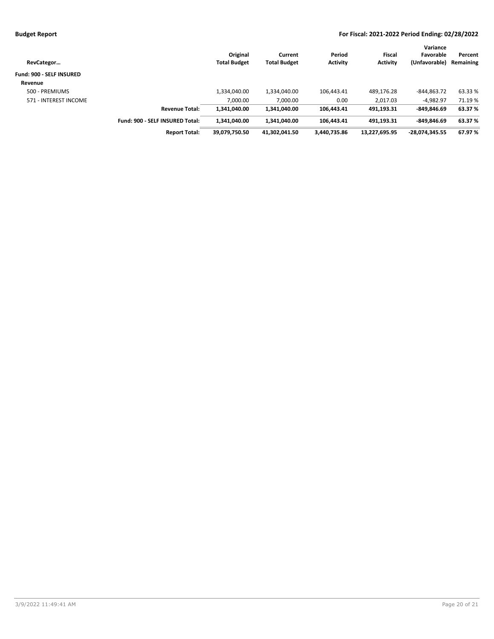| RevCategor                      |                                 | Original<br><b>Total Budget</b> | Current<br><b>Total Budget</b> | Period<br><b>Activity</b> | Fiscal<br><b>Activity</b> | Variance<br>Favorable<br>(Unfavorable) | Percent<br>Remaining |
|---------------------------------|---------------------------------|---------------------------------|--------------------------------|---------------------------|---------------------------|----------------------------------------|----------------------|
| <b>Fund: 900 - SELF INSURED</b> |                                 |                                 |                                |                           |                           |                                        |                      |
| Revenue                         |                                 |                                 |                                |                           |                           |                                        |                      |
| 500 - PREMIUMS                  |                                 | 1,334,040.00                    | 1,334,040.00                   | 106,443.41                | 489,176.28                | -844.863.72                            | 63.33 %              |
| 571 - INTEREST INCOME           |                                 | 7.000.00                        | 7,000.00                       | 0.00                      | 2,017.03                  | $-4.982.97$                            | 71.19%               |
|                                 | <b>Revenue Total:</b>           | 1.341.040.00                    | 1.341.040.00                   | 106.443.41                | 491.193.31                | $-849.846.69$                          | 63.37 %              |
|                                 | Fund: 900 - SELF INSURED Total: | 1,341,040.00                    | 1,341,040.00                   | 106.443.41                | 491.193.31                | $-849.846.69$                          | 63.37%               |
|                                 | <b>Report Total:</b>            | 39,079,750.50                   | 41,302,041.50                  | 3,440,735.86              | 13,227,695.95             | -28,074,345.55                         | 67.97%               |